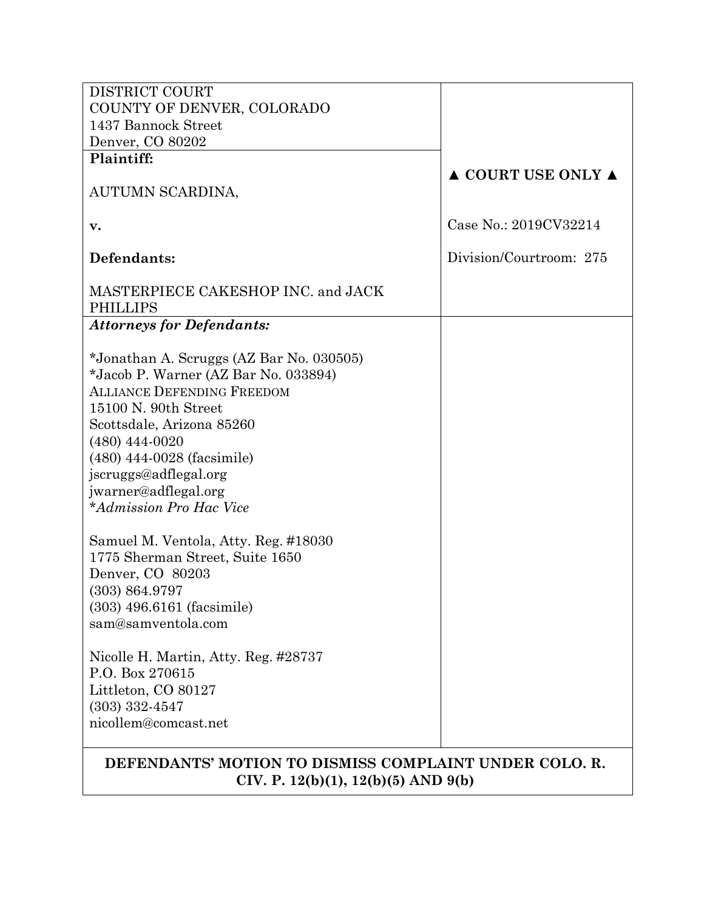| <b>DISTRICT COURT</b>                                                                                |                                        |  |  |  |
|------------------------------------------------------------------------------------------------------|----------------------------------------|--|--|--|
| COUNTY OF DENVER, COLORADO                                                                           |                                        |  |  |  |
| 1437 Bannock Street                                                                                  |                                        |  |  |  |
| Denver, CO 80202                                                                                     |                                        |  |  |  |
| Plaintiff:                                                                                           |                                        |  |  |  |
|                                                                                                      | $\triangle$ COURT USE ONLY $\triangle$ |  |  |  |
| AUTUMN SCARDINA,                                                                                     |                                        |  |  |  |
|                                                                                                      |                                        |  |  |  |
| v.                                                                                                   | Case No.: 2019CV32214                  |  |  |  |
| Defendants:                                                                                          | Division/Courtroom: 275                |  |  |  |
|                                                                                                      |                                        |  |  |  |
| MASTERPIECE CAKESHOP INC. and JACK                                                                   |                                        |  |  |  |
| <b>PHILLIPS</b>                                                                                      |                                        |  |  |  |
| <b>Attorneys for Defendants:</b>                                                                     |                                        |  |  |  |
|                                                                                                      |                                        |  |  |  |
| *Jonathan A. Scruggs (AZ Bar No. 030505)                                                             |                                        |  |  |  |
| *Jacob P. Warner (AZ Bar No. 033894)                                                                 |                                        |  |  |  |
| <b>ALLIANCE DEFENDING FREEDOM</b>                                                                    |                                        |  |  |  |
| 15100 N. 90th Street                                                                                 |                                        |  |  |  |
| Scottsdale, Arizona 85260                                                                            |                                        |  |  |  |
| $(480)$ 444-0020                                                                                     |                                        |  |  |  |
| (480) 444-0028 (facsimile)                                                                           |                                        |  |  |  |
| jscruggs@adflegal.org                                                                                |                                        |  |  |  |
| jwarner@adflegal.org                                                                                 |                                        |  |  |  |
| <i>*Admission Pro Hac Vice</i>                                                                       |                                        |  |  |  |
|                                                                                                      |                                        |  |  |  |
| Samuel M. Ventola, Atty. Reg. #18030<br>1775 Sherman Street, Suite 1650                              |                                        |  |  |  |
| Denver, CO 80203                                                                                     |                                        |  |  |  |
| (303) 864.9797                                                                                       |                                        |  |  |  |
| (303) 496.6161 (facsimile)                                                                           |                                        |  |  |  |
| sam@samventola.com                                                                                   |                                        |  |  |  |
|                                                                                                      |                                        |  |  |  |
| Nicolle H. Martin, Atty. Reg. #28737                                                                 |                                        |  |  |  |
| P.O. Box 270615                                                                                      |                                        |  |  |  |
| Littleton, CO 80127                                                                                  |                                        |  |  |  |
| $(303)$ 332-4547                                                                                     |                                        |  |  |  |
| nicollem@comcast.net                                                                                 |                                        |  |  |  |
| DEFENDANTS' MOTION TO DISMISS COMPLAINT UNDER COLO. R.<br>CIV. P. $12(b)(1)$ , $12(b)(5)$ AND $9(b)$ |                                        |  |  |  |
|                                                                                                      |                                        |  |  |  |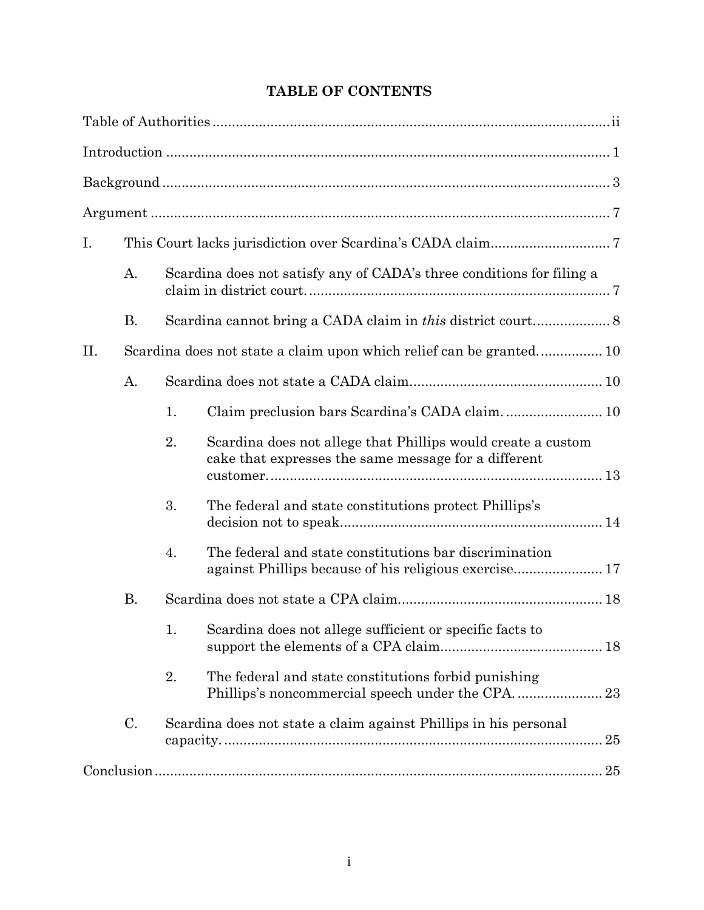# **TABLE OF CONTENTS**

| Ι.  |           |    |                                                                                                                      |  |
|-----|-----------|----|----------------------------------------------------------------------------------------------------------------------|--|
|     | A.        |    | Scardina does not satisfy any of CADA's three conditions for filing a                                                |  |
|     | <b>B.</b> |    |                                                                                                                      |  |
| II. |           |    |                                                                                                                      |  |
| A.  |           |    |                                                                                                                      |  |
|     |           | 1. |                                                                                                                      |  |
|     |           | 2. | Scardina does not allege that Phillips would create a custom<br>cake that expresses the same message for a different |  |
|     |           | 3. | The federal and state constitutions protect Phillips's                                                               |  |
|     |           | 4. | The federal and state constitutions bar discrimination                                                               |  |
|     | <b>B.</b> |    |                                                                                                                      |  |
|     |           |    | 1. Scardina does not allege sufficient or specific facts to                                                          |  |
|     |           | 2. | The federal and state constitutions forbid punishing                                                                 |  |
|     | C.        |    | Scardina does not state a claim against Phillips in his personal                                                     |  |
|     |           |    |                                                                                                                      |  |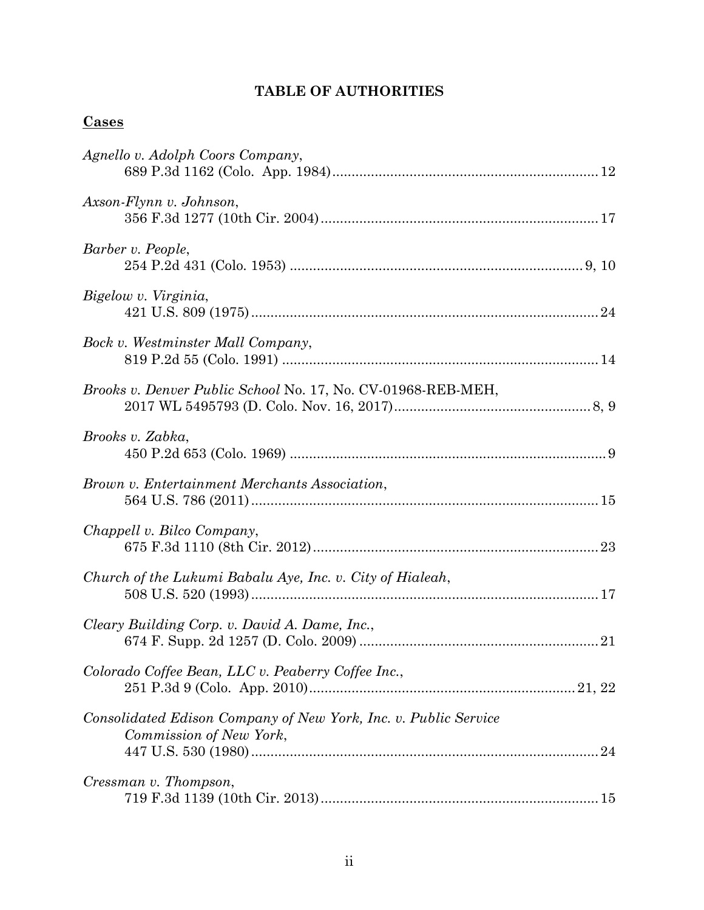# **TABLE OF AUTHORITIES**

# **Cases**

| Agnello v. Adolph Coors Company,                                                           |
|--------------------------------------------------------------------------------------------|
| Axson-Flynn v. Johnson,                                                                    |
| Barber v. People,                                                                          |
| Bigelow v. Virginia,                                                                       |
| Bock v. Westminster Mall Company,                                                          |
| Brooks v. Denver Public School No. 17, No. CV-01968-REB-MEH,                               |
| Brooks v. Zabka,                                                                           |
| Brown v. Entertainment Merchants Association,                                              |
| Chappell v. Bilco Company,                                                                 |
| Church of the Lukumi Babalu Aye, Inc. v. City of Hialeah,                                  |
| Cleary Building Corp. v. David A. Dame, Inc.,                                              |
| Colorado Coffee Bean, LLC v. Peaberry Coffee Inc.,                                         |
| Consolidated Edison Company of New York, Inc. v. Public Service<br>Commission of New York, |
| Cressman v. Thompson,                                                                      |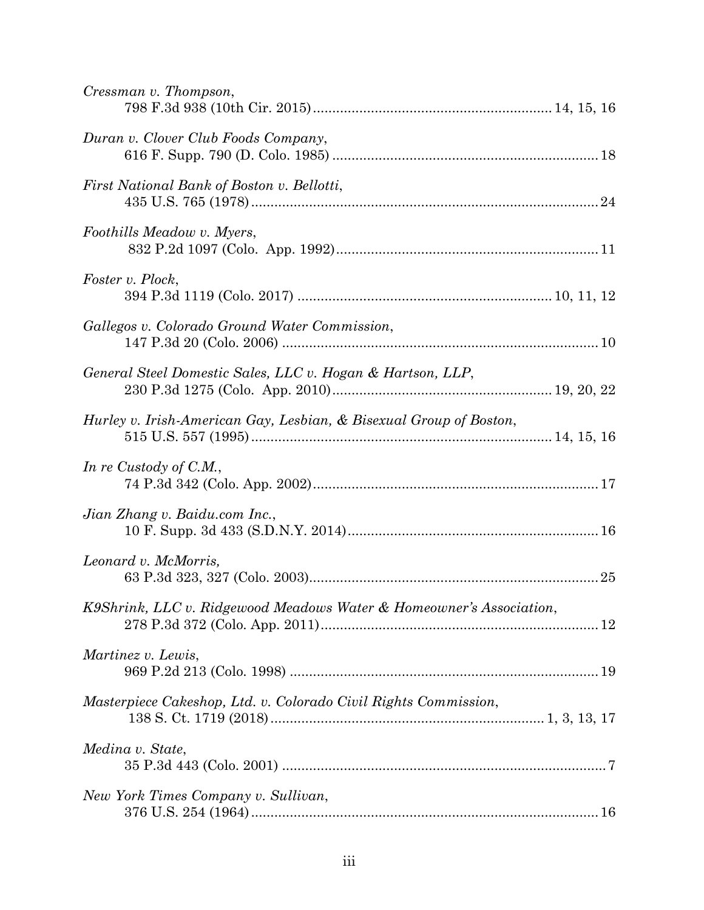| Cressman v. Thompson,                                               |
|---------------------------------------------------------------------|
| Duran v. Clover Club Foods Company,                                 |
| First National Bank of Boston v. Bellotti,                          |
| Foothills Meadow v. Myers,                                          |
| Foster v. Plock,                                                    |
| Gallegos v. Colorado Ground Water Commission,                       |
| General Steel Domestic Sales, LLC v. Hogan & Hartson, LLP,          |
| Hurley v. Irish-American Gay, Lesbian, & Bisexual Group of Boston,  |
| In re Custody of C.M.,                                              |
| Jian Zhang v. Baidu.com Inc.,                                       |
| Leonard v. McMorris,                                                |
| K9Shrink, LLC v. Ridgewood Meadows Water & Homeowner's Association, |
| Martinez v. Lewis,                                                  |
| Masterpiece Cakeshop, Ltd. v. Colorado Civil Rights Commission,     |
| Medina v. State,                                                    |
| New York Times Company v. Sullivan,                                 |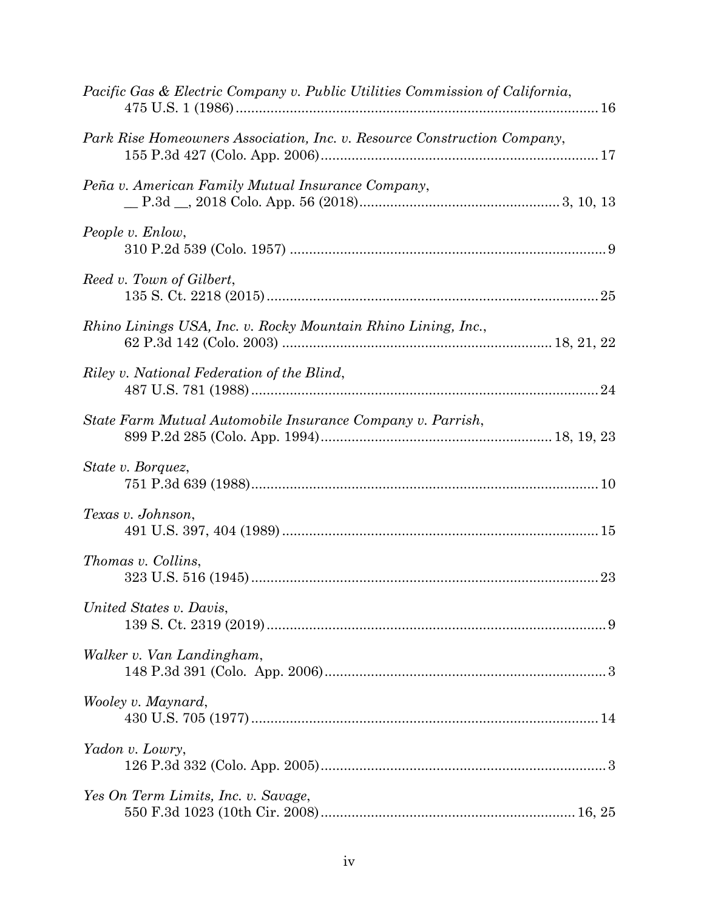| Pacific Gas & Electric Company v. Public Utilities Commission of California, |    |
|------------------------------------------------------------------------------|----|
| Park Rise Homeowners Association, Inc. v. Resource Construction Company,     |    |
| Peña v. American Family Mutual Insurance Company,                            |    |
| People v. Enlow,                                                             |    |
| Reed v. Town of Gilbert,                                                     |    |
| Rhino Linings USA, Inc. v. Rocky Mountain Rhino Lining, Inc.,                |    |
| Riley v. National Federation of the Blind,                                   |    |
| State Farm Mutual Automobile Insurance Company v. Parrish,                   |    |
| State v. Borquez,                                                            |    |
| Texas v. Johnson,                                                            |    |
| Thomas v. Collins,                                                           | 23 |
| United States v. Davis,                                                      |    |
| Walker v. Van Landingham,                                                    |    |
| Wooley v. Maynard,                                                           |    |
| Yadon v. Lowry,                                                              |    |
| Yes On Term Limits, Inc. v. Savage,                                          |    |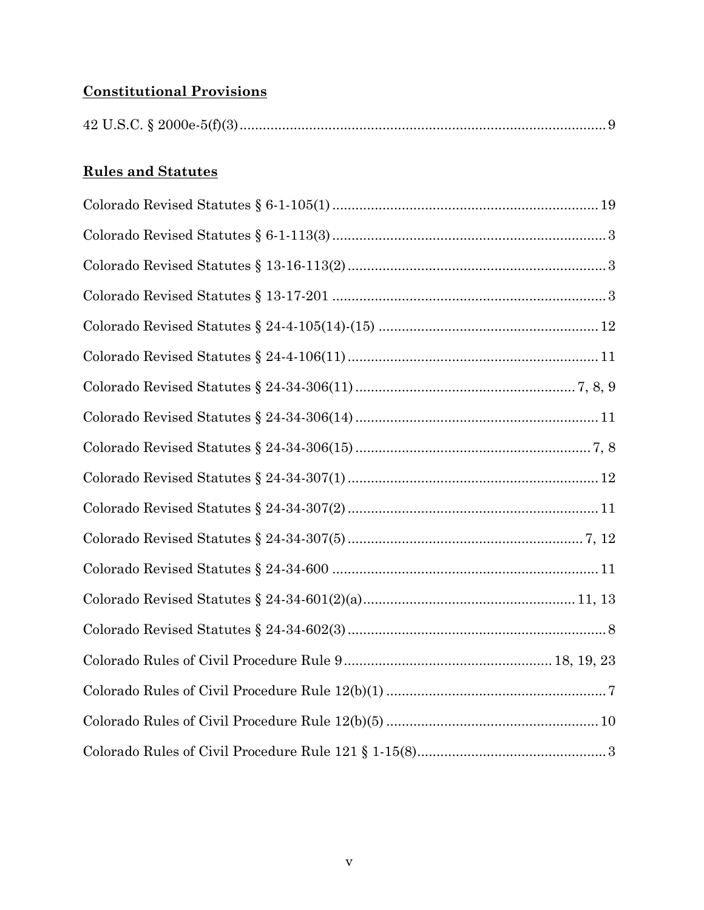# **Constitutional Provisions**

# **Rules and Statutes**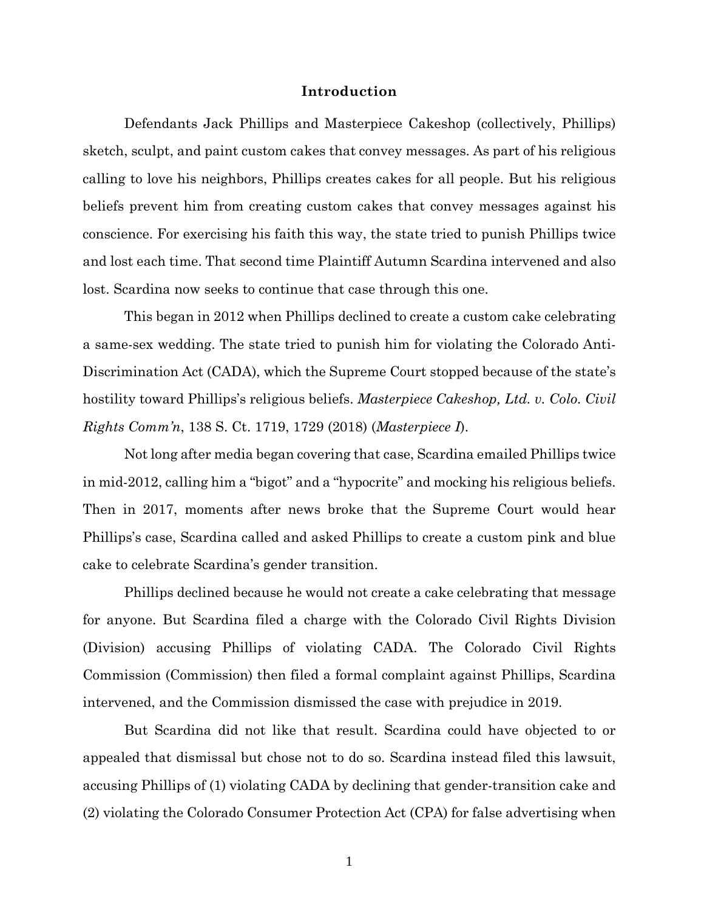#### **Introduction**

Defendants Jack Phillips and Masterpiece Cakeshop (collectively, Phillips) sketch, sculpt, and paint custom cakes that convey messages. As part of his religious calling to love his neighbors, Phillips creates cakes for all people. But his religious beliefs prevent him from creating custom cakes that convey messages against his conscience. For exercising his faith this way, the state tried to punish Phillips twice and lost each time. That second time Plaintiff Autumn Scardina intervened and also lost. Scardina now seeks to continue that case through this one.

This began in 2012 when Phillips declined to create a custom cake celebrating a same-sex wedding. The state tried to punish him for violating the Colorado Anti-Discrimination Act (CADA), which the Supreme Court stopped because of the state's hostility toward Phillips's religious beliefs. *Masterpiece Cakeshop, Ltd. v. Colo. Civil Rights Comm'n*, 138 S. Ct. 1719, 1729 (2018) (*Masterpiece I*).

Not long after media began covering that case, Scardina emailed Phillips twice in mid-2012, calling him a "bigot" and a "hypocrite" and mocking his religious beliefs. Then in 2017, moments after news broke that the Supreme Court would hear Phillips's case, Scardina called and asked Phillips to create a custom pink and blue cake to celebrate Scardina's gender transition.

Phillips declined because he would not create a cake celebrating that message for anyone. But Scardina filed a charge with the Colorado Civil Rights Division (Division) accusing Phillips of violating CADA. The Colorado Civil Rights Commission (Commission) then filed a formal complaint against Phillips, Scardina intervened, and the Commission dismissed the case with prejudice in 2019.

But Scardina did not like that result. Scardina could have objected to or appealed that dismissal but chose not to do so. Scardina instead filed this lawsuit, accusing Phillips of (1) violating CADA by declining that gender-transition cake and (2) violating the Colorado Consumer Protection Act (CPA) for false advertising when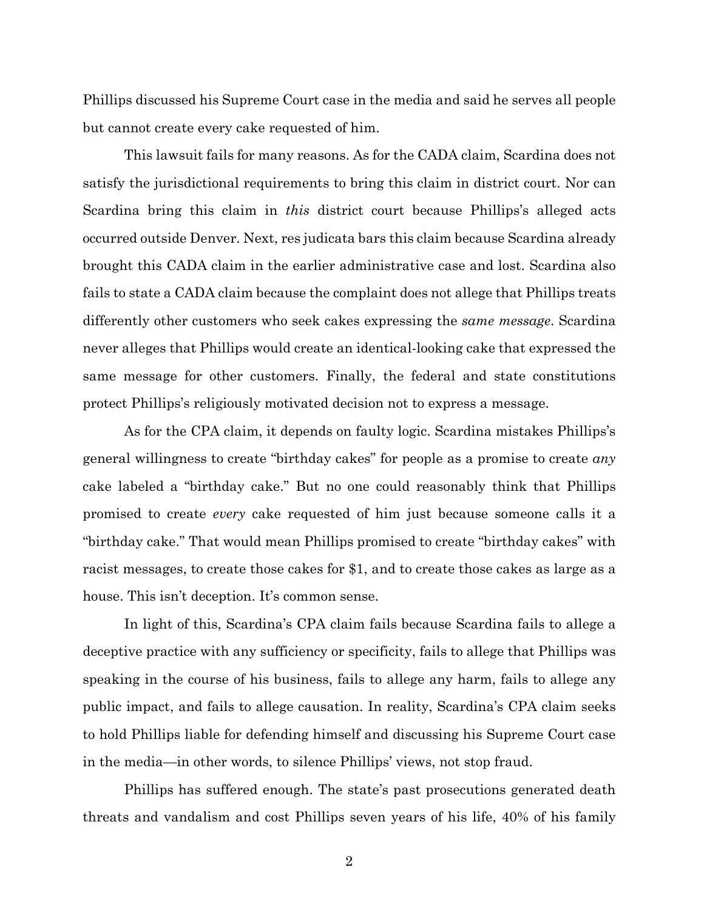Phillips discussed his Supreme Court case in the media and said he serves all people but cannot create every cake requested of him.

This lawsuit fails for many reasons. As for the CADA claim, Scardina does not satisfy the jurisdictional requirements to bring this claim in district court. Nor can Scardina bring this claim in *this* district court because Phillips's alleged acts occurred outside Denver. Next, res judicata bars this claim because Scardina already brought this CADA claim in the earlier administrative case and lost. Scardina also fails to state a CADA claim because the complaint does not allege that Phillips treats differently other customers who seek cakes expressing the *same message*. Scardina never alleges that Phillips would create an identical-looking cake that expressed the same message for other customers. Finally, the federal and state constitutions protect Phillips's religiously motivated decision not to express a message.

As for the CPA claim, it depends on faulty logic. Scardina mistakes Phillips's general willingness to create "birthday cakes" for people as a promise to create *any*  cake labeled a "birthday cake." But no one could reasonably think that Phillips promised to create *every* cake requested of him just because someone calls it a "birthday cake." That would mean Phillips promised to create "birthday cakes" with racist messages, to create those cakes for \$1, and to create those cakes as large as a house. This isn't deception. It's common sense.

In light of this, Scardina's CPA claim fails because Scardina fails to allege a deceptive practice with any sufficiency or specificity, fails to allege that Phillips was speaking in the course of his business, fails to allege any harm, fails to allege any public impact, and fails to allege causation. In reality, Scardina's CPA claim seeks to hold Phillips liable for defending himself and discussing his Supreme Court case in the media—in other words, to silence Phillips' views, not stop fraud.

Phillips has suffered enough. The state's past prosecutions generated death threats and vandalism and cost Phillips seven years of his life, 40% of his family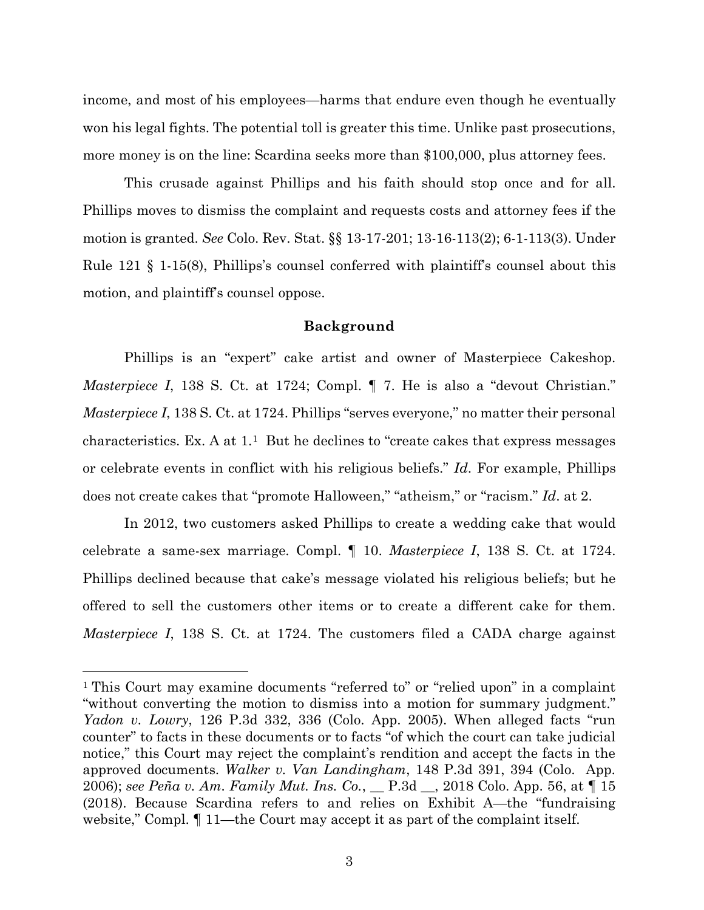income, and most of his employees—harms that endure even though he eventually won his legal fights. The potential toll is greater this time. Unlike past prosecutions, more money is on the line: Scardina seeks more than \$100,000, plus attorney fees.

This crusade against Phillips and his faith should stop once and for all. Phillips moves to dismiss the complaint and requests costs and attorney fees if the motion is granted. *See* Colo. Rev. Stat. §§ 13-17-201; 13-16-113(2); 6-1-113(3). Under Rule 121 § 1-15(8), Phillips's counsel conferred with plaintiff's counsel about this motion, and plaintiff's counsel oppose.

#### **Background**

Phillips is an "expert" cake artist and owner of Masterpiece Cakeshop. *Masterpiece I*, 138 S. Ct. at 1724; Compl.  $\parallel$  7. He is also a "devout Christian." *Masterpiece I*, 138 S. Ct. at 1724. Phillips "serves everyone," no matter their personal characteristics. Ex. A at  $1<sup>1</sup>$  But he declines to "create cakes that express messages" or celebrate events in conflict with his religious beliefs." *Id*. For example, Phillips does not create cakes that "promote Halloween," "atheism," or "racism." *Id*. at 2.

In 2012, two customers asked Phillips to create a wedding cake that would celebrate a same-sex marriage. Compl. ¶ 10. *Masterpiece I*, 138 S. Ct. at 1724. Phillips declined because that cake's message violated his religious beliefs; but he offered to sell the customers other items or to create a different cake for them. *Masterpiece I*, 138 S. Ct. at 1724. The customers filed a CADA charge against

<sup>1</sup> This Court may examine documents "referred to" or "relied upon" in a complaint "without converting the motion to dismiss into a motion for summary judgment." *Yadon v. Lowry*, 126 P.3d 332, 336 (Colo. App. 2005). When alleged facts "run counter" to facts in these documents or to facts "of which the court can take judicial notice," this Court may reject the complaint's rendition and accept the facts in the approved documents. *Walker v. Van Landingham*, 148 P.3d 391, 394 (Colo. App. 2006); *see Peña v. Am. Family Mut. Ins. Co.*, \_\_ P.3d \_\_, 2018 Colo. App. 56, at ¶ 15 (2018). Because Scardina refers to and relies on Exhibit A—the "fundraising website," Compl.  $\P$  11—the Court may accept it as part of the complaint itself.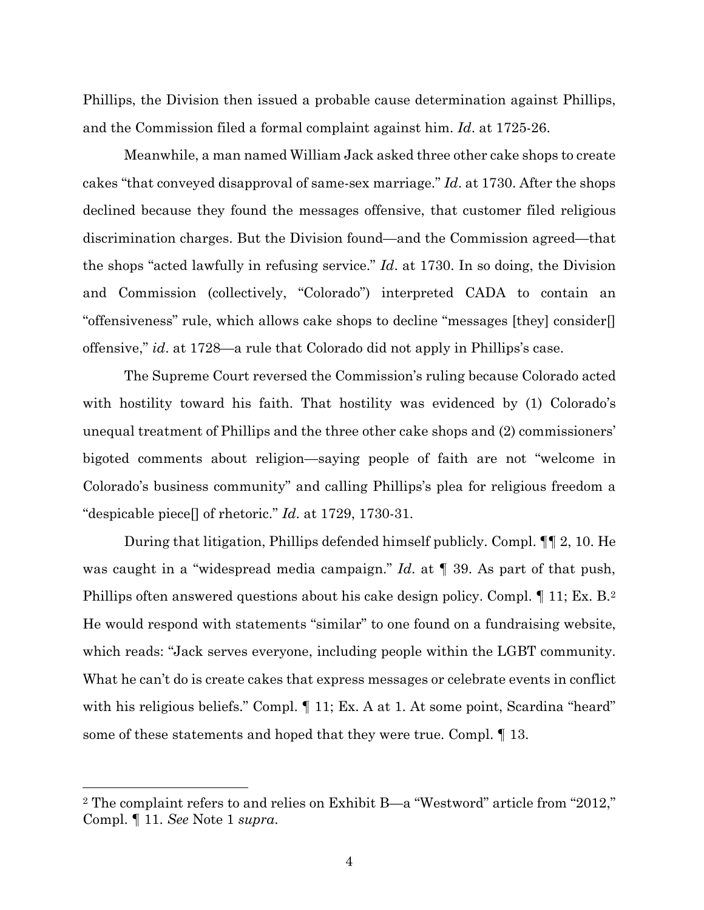Phillips, the Division then issued a probable cause determination against Phillips, and the Commission filed a formal complaint against him. *Id*. at 1725-26.

Meanwhile, a man named William Jack asked three other cake shops to create cakes "that conveyed disapproval of same-sex marriage." *Id*. at 1730. After the shops declined because they found the messages offensive, that customer filed religious discrimination charges. But the Division found—and the Commission agreed—that the shops "acted lawfully in refusing service." *Id*. at 1730. In so doing, the Division and Commission (collectively, "Colorado") interpreted CADA to contain an "offensiveness" rule, which allows cake shops to decline "messages [they] consider[] offensive," *id*. at 1728—a rule that Colorado did not apply in Phillips's case.

The Supreme Court reversed the Commission's ruling because Colorado acted with hostility toward his faith. That hostility was evidenced by (1) Colorado's unequal treatment of Phillips and the three other cake shops and (2) commissioners' bigoted comments about religion—saying people of faith are not "welcome in Colorado's business community" and calling Phillips's plea for religious freedom a "despicable piece[] of rhetoric." *Id*. at 1729, 1730-31.

During that litigation, Phillips defended himself publicly. Compl. ¶¶ 2, 10. He was caught in a "widespread media campaign." *Id*. at ¶ 39. As part of that push, Phillips often answered questions about his cake design policy. Compl. 11; Ex. B.<sup>2</sup> He would respond with statements "similar" to one found on a fundraising website, which reads: "Jack serves everyone, including people within the LGBT community. What he can't do is create cakes that express messages or celebrate events in conflict with his religious beliefs." Compl.  $\P$  11; Ex. A at 1. At some point, Scardina "heard" some of these statements and hoped that they were true. Compl. ¶ 13.

<sup>2</sup> The complaint refers to and relies on Exhibit B—a "Westword" article from "2012," Compl. ¶ 11. *See* Note 1 *supra*.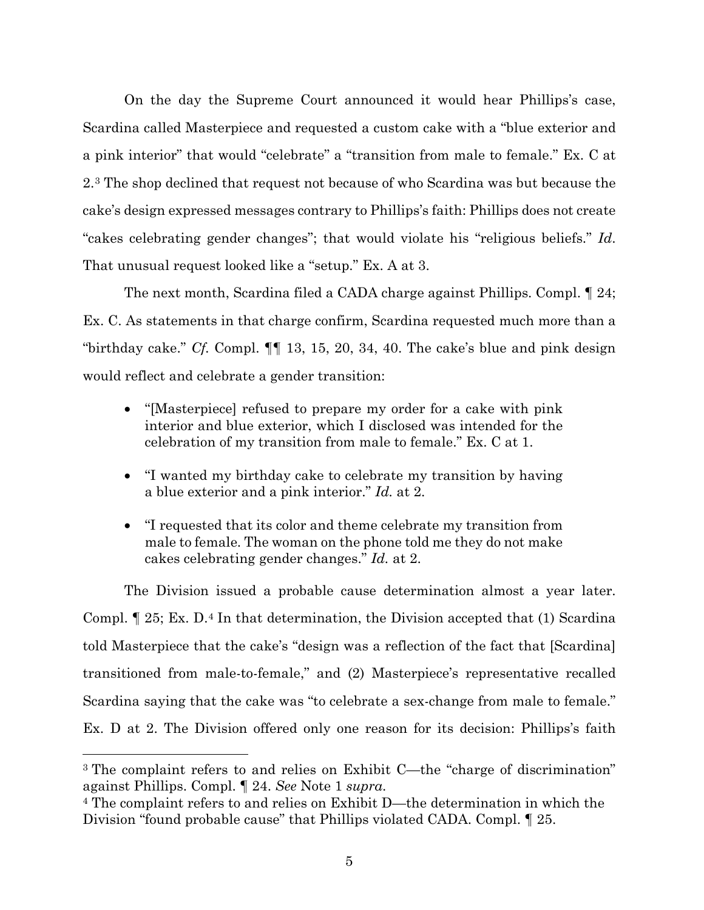On the day the Supreme Court announced it would hear Phillips's case, Scardina called Masterpiece and requested a custom cake with a "blue exterior and a pink interior" that would "celebrate" a "transition from male to female." Ex. C at 2.3 The shop declined that request not because of who Scardina was but because the cake's design expressed messages contrary to Phillips's faith: Phillips does not create "cakes celebrating gender changes"; that would violate his "religious beliefs." *Id*. That unusual request looked like a "setup." Ex. A at 3.

The next month, Scardina filed a CADA charge against Phillips. Compl. ¶ 24; Ex. C. As statements in that charge confirm, Scardina requested much more than a "birthday cake." *Cf.* Compl. ¶¶ 13, 15, 20, 34, 40. The cake's blue and pink design would reflect and celebrate a gender transition:

- "[Masterpiece] refused to prepare my order for a cake with pink interior and blue exterior, which I disclosed was intended for the celebration of my transition from male to female." Ex. C at 1.
- "I wanted my birthday cake to celebrate my transition by having a blue exterior and a pink interior." *Id.* at 2.
- "I requested that its color and theme celebrate my transition from male to female. The woman on the phone told me they do not make cakes celebrating gender changes." *Id.* at 2.

The Division issued a probable cause determination almost a year later. Compl. ¶ 25; Ex. D.4 In that determination, the Division accepted that (1) Scardina told Masterpiece that the cake's "design was a reflection of the fact that [Scardina] transitioned from male-to-female," and (2) Masterpiece's representative recalled Scardina saying that the cake was "to celebrate a sex-change from male to female." Ex. D at 2. The Division offered only one reason for its decision: Phillips's faith

<sup>3</sup> The complaint refers to and relies on Exhibit C—the "charge of discrimination" against Phillips. Compl. ¶ 24. *See* Note 1 *supra*.

<sup>4</sup> The complaint refers to and relies on Exhibit D—the determination in which the Division "found probable cause" that Phillips violated CADA. Compl. ¶ 25.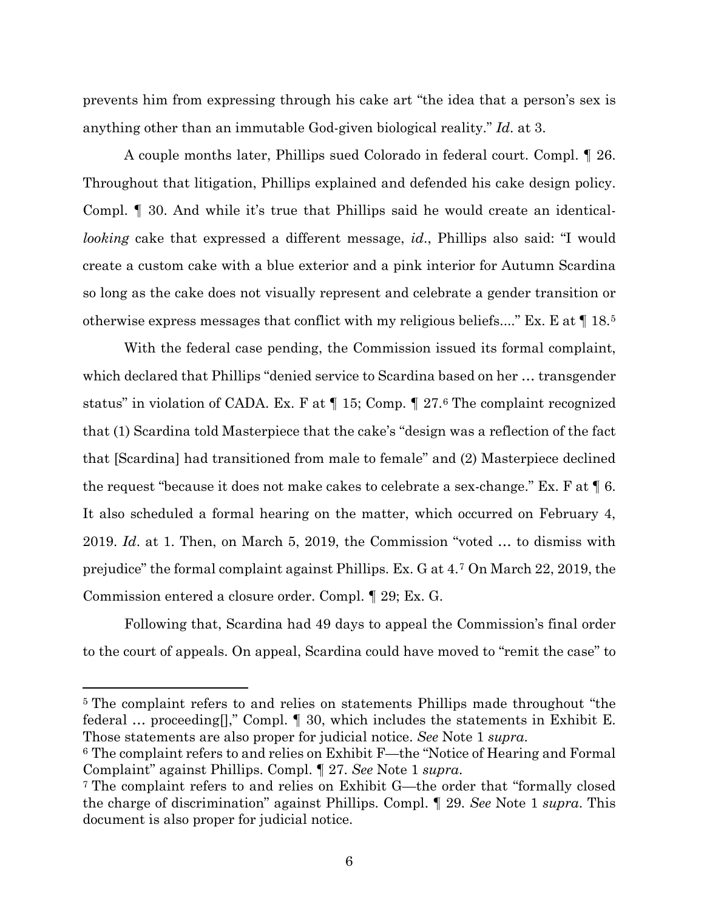prevents him from expressing through his cake art "the idea that a person's sex is anything other than an immutable God-given biological reality." *Id*. at 3.

A couple months later, Phillips sued Colorado in federal court. Compl. ¶ 26. Throughout that litigation, Phillips explained and defended his cake design policy. Compl. ¶ 30. And while it's true that Phillips said he would create an identical*looking* cake that expressed a different message, *id*., Phillips also said: "I would create a custom cake with a blue exterior and a pink interior for Autumn Scardina so long as the cake does not visually represent and celebrate a gender transition or otherwise express messages that conflict with my religious beliefs...." Ex. E at ¶ 18.5

With the federal case pending, the Commission issued its formal complaint, which declared that Phillips "denied service to Scardina based on her … transgender status" in violation of CADA. Ex. F at ¶ 15; Comp. ¶ 27.6 The complaint recognized that (1) Scardina told Masterpiece that the cake's "design was a reflection of the fact that [Scardina] had transitioned from male to female" and (2) Masterpiece declined the request "because it does not make cakes to celebrate a sex-change." Ex. F at ¶ 6. It also scheduled a formal hearing on the matter, which occurred on February 4, 2019. *Id*. at 1. Then, on March 5, 2019, the Commission "voted … to dismiss with prejudice" the formal complaint against Phillips. Ex. G at 4.7 On March 22, 2019, the Commission entered a closure order. Compl. ¶ 29; Ex. G.

Following that, Scardina had 49 days to appeal the Commission's final order to the court of appeals. On appeal, Scardina could have moved to "remit the case" to

<sup>5</sup> The complaint refers to and relies on statements Phillips made throughout "the federal … proceeding[]," Compl. ¶ 30, which includes the statements in Exhibit E. Those statements are also proper for judicial notice. *See* Note 1 *supra*.

<sup>6</sup> The complaint refers to and relies on Exhibit F—the "Notice of Hearing and Formal Complaint" against Phillips. Compl. ¶ 27. *See* Note 1 *supra*.<br><sup>7</sup> The complaint refers to and relies on Exhibit G—the order that "formally closed"

the charge of discrimination" against Phillips. Compl. ¶ 29. *See* Note 1 *supra*. This document is also proper for judicial notice.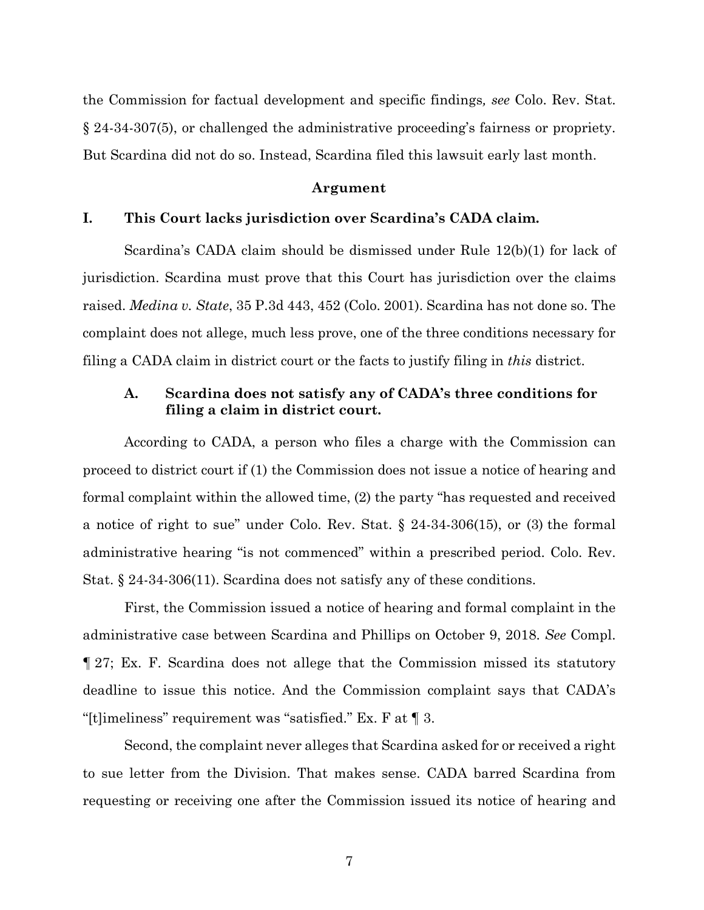the Commission for factual development and specific findings*, see* Colo. Rev. Stat. § 24-34-307(5), or challenged the administrative proceeding's fairness or propriety. But Scardina did not do so. Instead, Scardina filed this lawsuit early last month.

### **Argument**

## **I. This Court lacks jurisdiction over Scardina's CADA claim.**

Scardina's CADA claim should be dismissed under Rule 12(b)(1) for lack of jurisdiction. Scardina must prove that this Court has jurisdiction over the claims raised. *Medina v. State*, 35 P.3d 443, 452 (Colo. 2001). Scardina has not done so. The complaint does not allege, much less prove, one of the three conditions necessary for filing a CADA claim in district court or the facts to justify filing in *this* district.

# **A. Scardina does not satisfy any of CADA's three conditions for filing a claim in district court.**

According to CADA, a person who files a charge with the Commission can proceed to district court if (1) the Commission does not issue a notice of hearing and formal complaint within the allowed time, (2) the party "has requested and received a notice of right to sue" under Colo. Rev. Stat. § 24-34-306(15), or (3) the formal administrative hearing "is not commenced" within a prescribed period. Colo. Rev. Stat. § 24-34-306(11). Scardina does not satisfy any of these conditions.

First, the Commission issued a notice of hearing and formal complaint in the administrative case between Scardina and Phillips on October 9, 2018. *See* Compl. ¶ 27; Ex. F. Scardina does not allege that the Commission missed its statutory deadline to issue this notice. And the Commission complaint says that CADA's "[t]imeliness" requirement was "satisfied." Ex. F at ¶ 3.

Second, the complaint never alleges that Scardina asked for or received a right to sue letter from the Division. That makes sense. CADA barred Scardina from requesting or receiving one after the Commission issued its notice of hearing and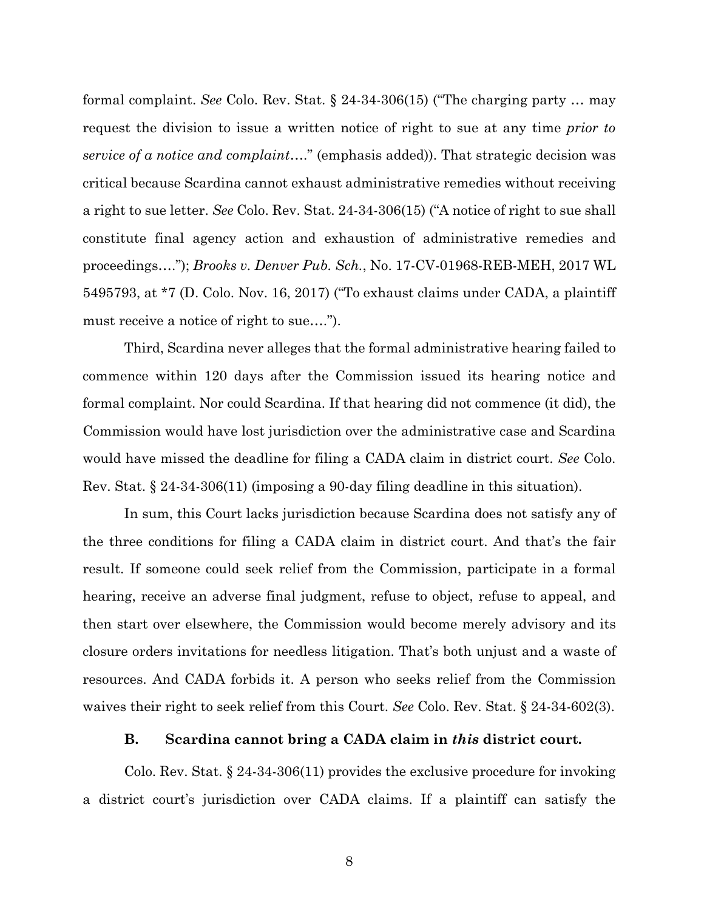formal complaint. *See* Colo. Rev. Stat. § 24-34-306(15) ("The charging party … may request the division to issue a written notice of right to sue at any time *prior to service of a notice and complaint*…." (emphasis added)). That strategic decision was critical because Scardina cannot exhaust administrative remedies without receiving a right to sue letter. *See* Colo. Rev. Stat. 24-34-306(15) ("A notice of right to sue shall constitute final agency action and exhaustion of administrative remedies and proceedings…."); *Brooks v. Denver Pub. Sch.*, No. 17-CV-01968-REB-MEH, 2017 WL 5495793, at \*7 (D. Colo. Nov. 16, 2017) ("To exhaust claims under CADA, a plaintiff must receive a notice of right to sue….").

Third, Scardina never alleges that the formal administrative hearing failed to commence within 120 days after the Commission issued its hearing notice and formal complaint. Nor could Scardina. If that hearing did not commence (it did), the Commission would have lost jurisdiction over the administrative case and Scardina would have missed the deadline for filing a CADA claim in district court. *See* Colo. Rev. Stat. § 24-34-306(11) (imposing a 90-day filing deadline in this situation).

In sum, this Court lacks jurisdiction because Scardina does not satisfy any of the three conditions for filing a CADA claim in district court. And that's the fair result. If someone could seek relief from the Commission, participate in a formal hearing, receive an adverse final judgment, refuse to object, refuse to appeal, and then start over elsewhere, the Commission would become merely advisory and its closure orders invitations for needless litigation. That's both unjust and a waste of resources. And CADA forbids it. A person who seeks relief from the Commission waives their right to seek relief from this Court. *See* Colo. Rev. Stat. § 24-34-602(3).

#### **B. Scardina cannot bring a CADA claim in** *this* **district court.**

Colo. Rev. Stat. § 24-34-306(11) provides the exclusive procedure for invoking a district court's jurisdiction over CADA claims. If a plaintiff can satisfy the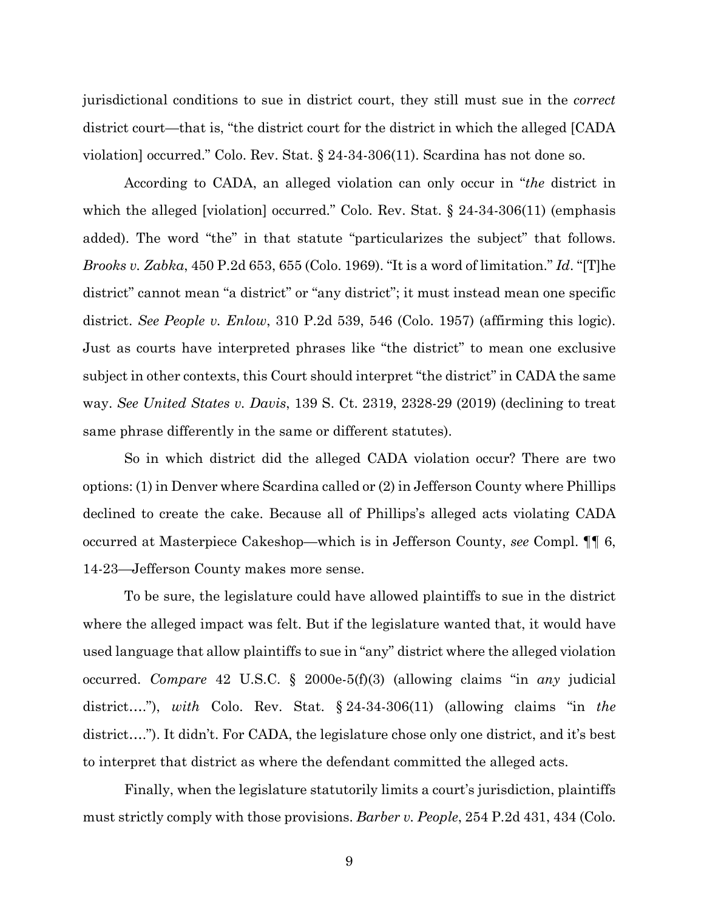jurisdictional conditions to sue in district court, they still must sue in the *correct* district court—that is, "the district court for the district in which the alleged [CADA violation] occurred." Colo. Rev. Stat. § 24-34-306(11). Scardina has not done so.

According to CADA, an alleged violation can only occur in "*the* district in which the alleged [violation] occurred." Colo. Rev. Stat. § 24-34-306(11) (emphasis added). The word "the" in that statute "particularizes the subject" that follows. *Brooks v. Zabka*, 450 P.2d 653, 655 (Colo. 1969). "It is a word of limitation." *Id*. "[T]he district" cannot mean "a district" or "any district"; it must instead mean one specific district. *See People v. Enlow*, 310 P.2d 539, 546 (Colo. 1957) (affirming this logic). Just as courts have interpreted phrases like "the district" to mean one exclusive subject in other contexts, this Court should interpret "the district" in CADA the same way. *See United States v. Davis*, 139 S. Ct. 2319, 2328-29 (2019) (declining to treat same phrase differently in the same or different statutes).

So in which district did the alleged CADA violation occur? There are two options: (1) in Denver where Scardina called or (2) in Jefferson County where Phillips declined to create the cake. Because all of Phillips's alleged acts violating CADA occurred at Masterpiece Cakeshop—which is in Jefferson County, *see* Compl. ¶¶ 6, 14-23—Jefferson County makes more sense.

To be sure, the legislature could have allowed plaintiffs to sue in the district where the alleged impact was felt. But if the legislature wanted that, it would have used language that allow plaintiffs to sue in "any" district where the alleged violation occurred. *Compare* 42 U.S.C. § 2000e-5(f)(3) (allowing claims "in *any* judicial district…."), *with* Colo. Rev. Stat. § 24-34-306(11) (allowing claims "in *the* district…."). It didn't. For CADA, the legislature chose only one district, and it's best to interpret that district as where the defendant committed the alleged acts.

Finally, when the legislature statutorily limits a court's jurisdiction, plaintiffs must strictly comply with those provisions. *Barber v. People*, 254 P.2d 431, 434 (Colo.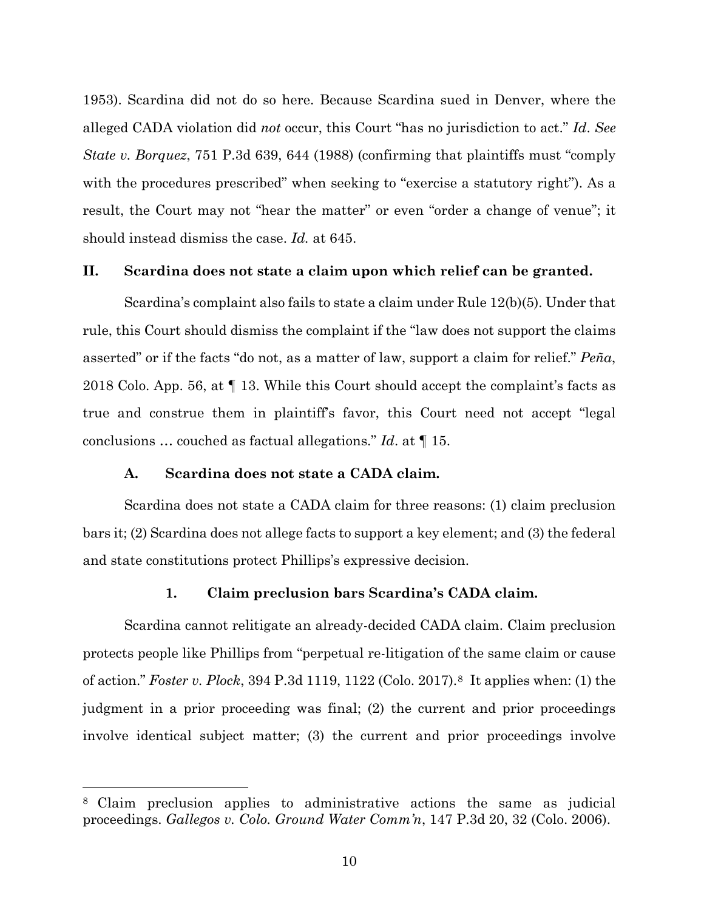1953). Scardina did not do so here. Because Scardina sued in Denver, where the alleged CADA violation did *not* occur, this Court "has no jurisdiction to act." *Id*. *See State v. Borquez*, 751 P.3d 639, 644 (1988) (confirming that plaintiffs must "comply with the procedures prescribed" when seeking to "exercise a statutory right"). As a result, the Court may not "hear the matter" or even "order a change of venue"; it should instead dismiss the case. *Id.* at 645.

### **II. Scardina does not state a claim upon which relief can be granted.**

Scardina's complaint also fails to state a claim under Rule 12(b)(5). Under that rule, this Court should dismiss the complaint if the "law does not support the claims asserted" or if the facts "do not, as a matter of law, support a claim for relief." *Peña*, 2018 Colo. App. 56, at ¶ 13. While this Court should accept the complaint's facts as true and construe them in plaintiff's favor, this Court need not accept "legal conclusions … couched as factual allegations." *Id*. at ¶ 15.

### **A. Scardina does not state a CADA claim.**

 $\overline{a}$ 

Scardina does not state a CADA claim for three reasons: (1) claim preclusion bars it; (2) Scardina does not allege facts to support a key element; and (3) the federal and state constitutions protect Phillips's expressive decision.

### **1. Claim preclusion bars Scardina's CADA claim.**

Scardina cannot relitigate an already-decided CADA claim. Claim preclusion protects people like Phillips from "perpetual re-litigation of the same claim or cause of action." *Foster v. Plock*, 394 P.3d 1119, 1122 (Colo. 2017).8 It applies when: (1) the judgment in a prior proceeding was final; (2) the current and prior proceedings involve identical subject matter; (3) the current and prior proceedings involve

<sup>8</sup> Claim preclusion applies to administrative actions the same as judicial proceedings. *Gallegos v. Colo. Ground Water Comm'n*, 147 P.3d 20, 32 (Colo. 2006).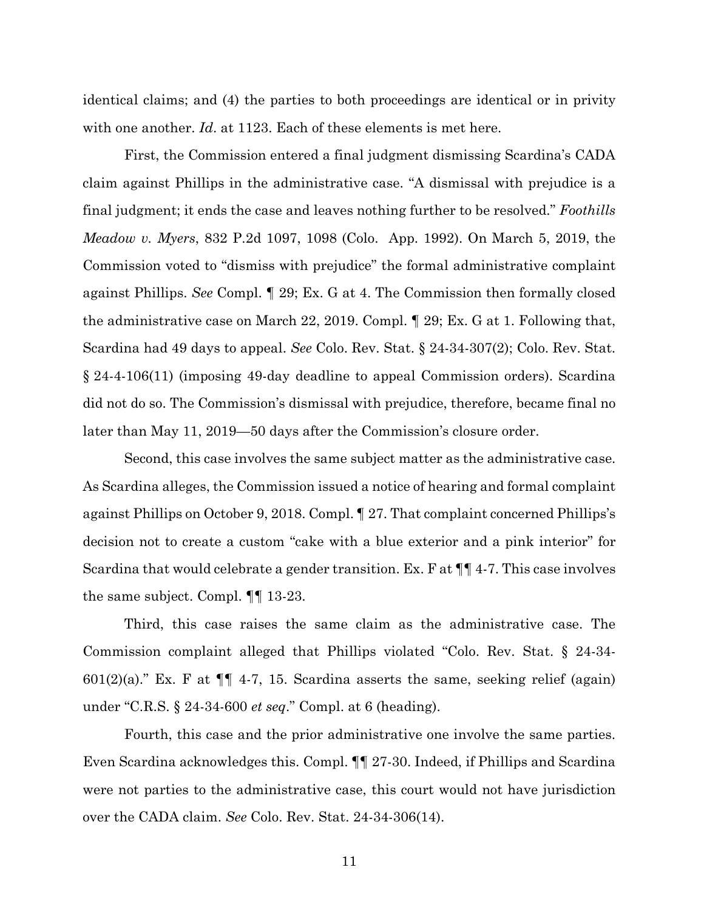identical claims; and (4) the parties to both proceedings are identical or in privity with one another. *Id*. at 1123. Each of these elements is met here.

First, the Commission entered a final judgment dismissing Scardina's CADA claim against Phillips in the administrative case. "A dismissal with prejudice is a final judgment; it ends the case and leaves nothing further to be resolved." *Foothills Meadow v. Myers*, 832 P.2d 1097, 1098 (Colo. App. 1992). On March 5, 2019, the Commission voted to "dismiss with prejudice" the formal administrative complaint against Phillips. *See* Compl. ¶ 29; Ex. G at 4. The Commission then formally closed the administrative case on March 22, 2019. Compl. ¶ 29; Ex. G at 1. Following that, Scardina had 49 days to appeal. *See* Colo. Rev. Stat. § 24-34-307(2); Colo. Rev. Stat. § 24-4-106(11) (imposing 49-day deadline to appeal Commission orders). Scardina did not do so. The Commission's dismissal with prejudice, therefore, became final no later than May 11, 2019—50 days after the Commission's closure order.

Second, this case involves the same subject matter as the administrative case. As Scardina alleges, the Commission issued a notice of hearing and formal complaint against Phillips on October 9, 2018. Compl. ¶ 27. That complaint concerned Phillips's decision not to create a custom "cake with a blue exterior and a pink interior" for Scardina that would celebrate a gender transition. Ex. F at ¶¶ 4-7. This case involves the same subject. Compl. ¶¶ 13-23.

Third, this case raises the same claim as the administrative case. The Commission complaint alleged that Phillips violated "Colo. Rev. Stat. § 24-34-  $601(2)(a)$ ." Ex. F at  $\P\P$  4-7, 15. Scardina asserts the same, seeking relief (again) under "C.R.S. § 24-34-600 *et seq*." Compl. at 6 (heading).

Fourth, this case and the prior administrative one involve the same parties. Even Scardina acknowledges this. Compl. ¶¶ 27-30. Indeed, if Phillips and Scardina were not parties to the administrative case, this court would not have jurisdiction over the CADA claim. *See* Colo. Rev. Stat. 24-34-306(14).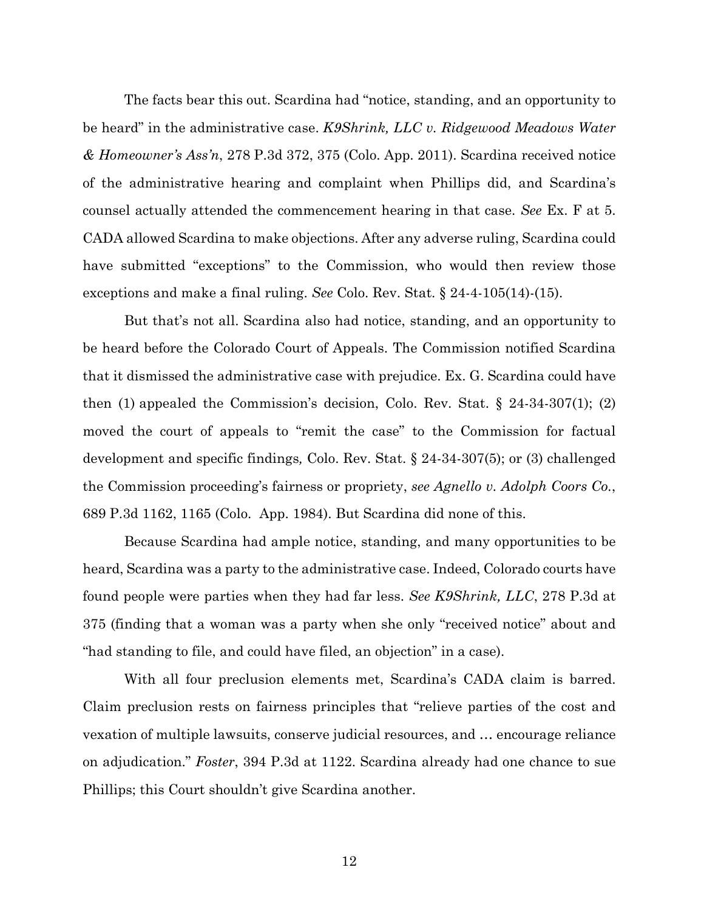The facts bear this out. Scardina had "notice, standing, and an opportunity to be heard" in the administrative case. *K9Shrink, LLC v. Ridgewood Meadows Water & Homeowner's Ass'n*, 278 P.3d 372, 375 (Colo. App. 2011). Scardina received notice of the administrative hearing and complaint when Phillips did, and Scardina's counsel actually attended the commencement hearing in that case. *See* Ex. F at 5. CADA allowed Scardina to make objections. After any adverse ruling, Scardina could have submitted "exceptions" to the Commission, who would then review those exceptions and make a final ruling. *See* Colo. Rev. Stat. § 24-4-105(14)-(15).

But that's not all. Scardina also had notice, standing, and an opportunity to be heard before the Colorado Court of Appeals. The Commission notified Scardina that it dismissed the administrative case with prejudice. Ex. G. Scardina could have then (1) appealed the Commission's decision, Colo. Rev. Stat.  $\S$  24-34-307(1); (2) moved the court of appeals to "remit the case" to the Commission for factual development and specific findings*,* Colo. Rev. Stat. § 24-34-307(5); or (3) challenged the Commission proceeding's fairness or propriety, *see Agnello v. Adolph Coors Co.*, 689 P.3d 1162, 1165 (Colo. App. 1984). But Scardina did none of this.

Because Scardina had ample notice, standing, and many opportunities to be heard, Scardina was a party to the administrative case. Indeed, Colorado courts have found people were parties when they had far less. *See K9Shrink, LLC*, 278 P.3d at 375 (finding that a woman was a party when she only "received notice" about and "had standing to file, and could have filed, an objection" in a case).

With all four preclusion elements met, Scardina's CADA claim is barred. Claim preclusion rests on fairness principles that "relieve parties of the cost and vexation of multiple lawsuits, conserve judicial resources, and … encourage reliance on adjudication." *Foster*, 394 P.3d at 1122. Scardina already had one chance to sue Phillips; this Court shouldn't give Scardina another.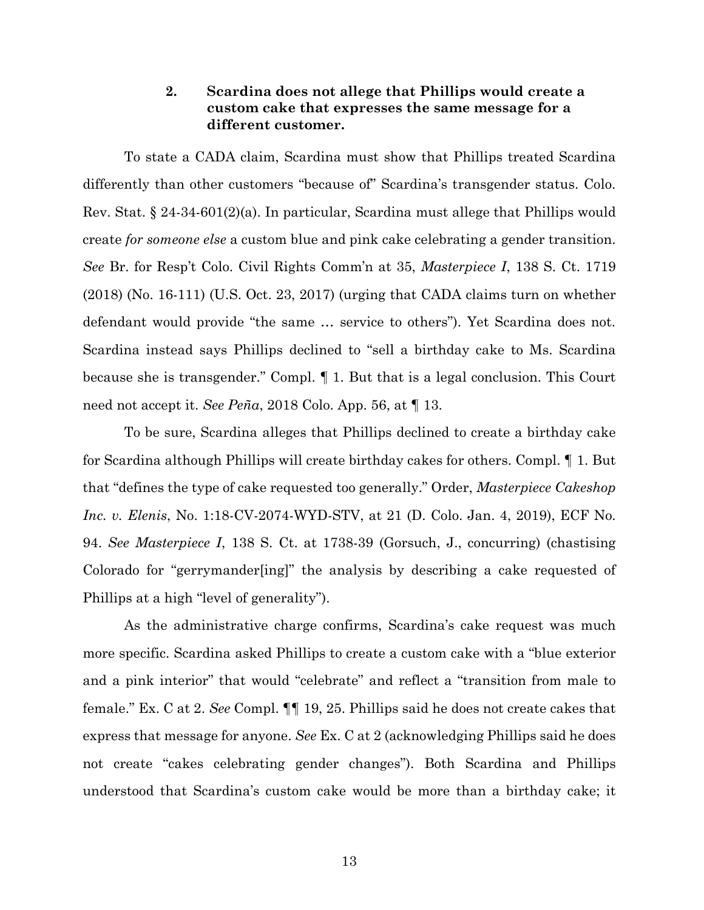# **2. Scardina does not allege that Phillips would create a custom cake that expresses the same message for a different customer.**

To state a CADA claim, Scardina must show that Phillips treated Scardina differently than other customers "because of" Scardina's transgender status. Colo. Rev. Stat. § 24-34-601(2)(a). In particular, Scardina must allege that Phillips would create *for someone else* a custom blue and pink cake celebrating a gender transition. *See* Br. for Resp't Colo. Civil Rights Comm'n at 35, *Masterpiece I*, 138 S. Ct. 1719 (2018) (No. 16-111) (U.S. Oct. 23, 2017) (urging that CADA claims turn on whether defendant would provide "the same … service to others"). Yet Scardina does not. Scardina instead says Phillips declined to "sell a birthday cake to Ms. Scardina because she is transgender." Compl. ¶ 1. But that is a legal conclusion. This Court need not accept it. *See Peña*, 2018 Colo. App. 56, at ¶ 13.

To be sure, Scardina alleges that Phillips declined to create a birthday cake for Scardina although Phillips will create birthday cakes for others. Compl. ¶ 1. But that "defines the type of cake requested too generally." Order, *Masterpiece Cakeshop Inc. v. Elenis*, No. 1:18-CV-2074-WYD-STV, at 21 (D. Colo. Jan. 4, 2019), ECF No. 94. *See Masterpiece I*, 138 S. Ct. at 1738-39 (Gorsuch, J., concurring) (chastising Colorado for "gerrymander[ing]" the analysis by describing a cake requested of Phillips at a high "level of generality").

As the administrative charge confirms, Scardina's cake request was much more specific. Scardina asked Phillips to create a custom cake with a "blue exterior and a pink interior" that would "celebrate" and reflect a "transition from male to female." Ex. C at 2. *See* Compl. ¶¶ 19, 25. Phillips said he does not create cakes that express that message for anyone. *See* Ex. C at 2 (acknowledging Phillips said he does not create "cakes celebrating gender changes"). Both Scardina and Phillips understood that Scardina's custom cake would be more than a birthday cake; it

13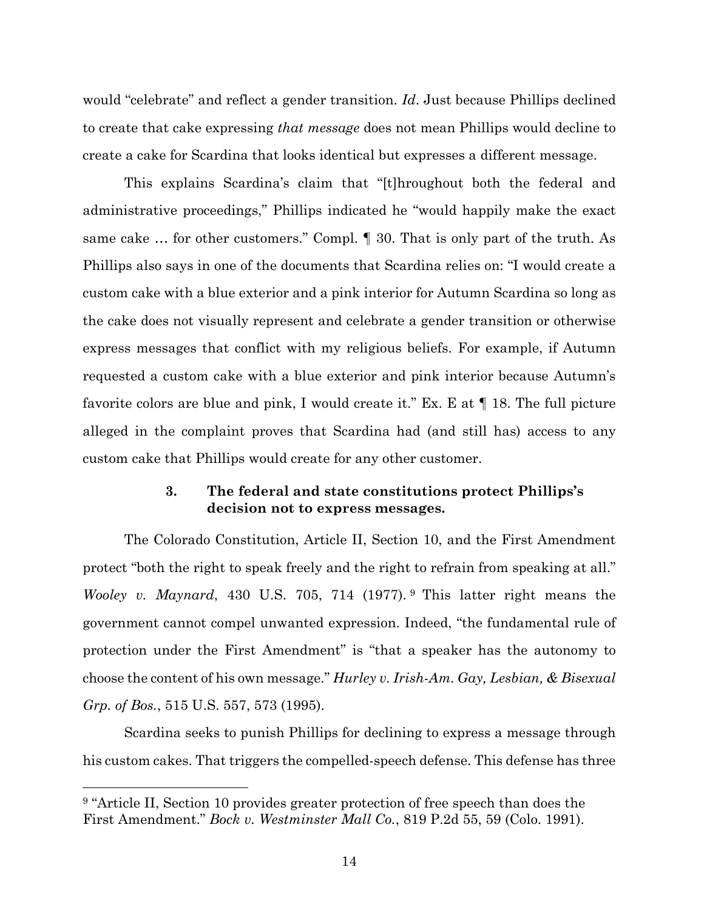would "celebrate" and reflect a gender transition. *Id*. Just because Phillips declined to create that cake expressing *that message* does not mean Phillips would decline to create a cake for Scardina that looks identical but expresses a different message.

This explains Scardina's claim that "[t]hroughout both the federal and administrative proceedings," Phillips indicated he "would happily make the exact same cake … for other customers." Compl. ¶ 30. That is only part of the truth. As Phillips also says in one of the documents that Scardina relies on: "I would create a custom cake with a blue exterior and a pink interior for Autumn Scardina so long as the cake does not visually represent and celebrate a gender transition or otherwise express messages that conflict with my religious beliefs. For example, if Autumn requested a custom cake with a blue exterior and pink interior because Autumn's favorite colors are blue and pink, I would create it." Ex. E at ¶ 18. The full picture alleged in the complaint proves that Scardina had (and still has) access to any custom cake that Phillips would create for any other customer.

# **3. The federal and state constitutions protect Phillips's decision not to express messages.**

The Colorado Constitution, Article II, Section 10, and the First Amendment protect "both the right to speak freely and the right to refrain from speaking at all." *Wooley v. Maynard*, 430 U.S. 705, 714 (1977). <sup>9</sup> This latter right means the government cannot compel unwanted expression. Indeed, "the fundamental rule of protection under the First Amendment" is "that a speaker has the autonomy to choose the content of his own message." *Hurley v. Irish-Am. Gay, Lesbian, & Bisexual Grp. of Bos.*, 515 U.S. 557, 573 (1995).

Scardina seeks to punish Phillips for declining to express a message through his custom cakes. That triggers the compelled-speech defense. This defense has three

<sup>&</sup>lt;sup>9</sup> "Article II, Section 10 provides greater protection of free speech than does the First Amendment." *Bock v. Westminster Mall Co.*, 819 P.2d 55, 59 (Colo. 1991).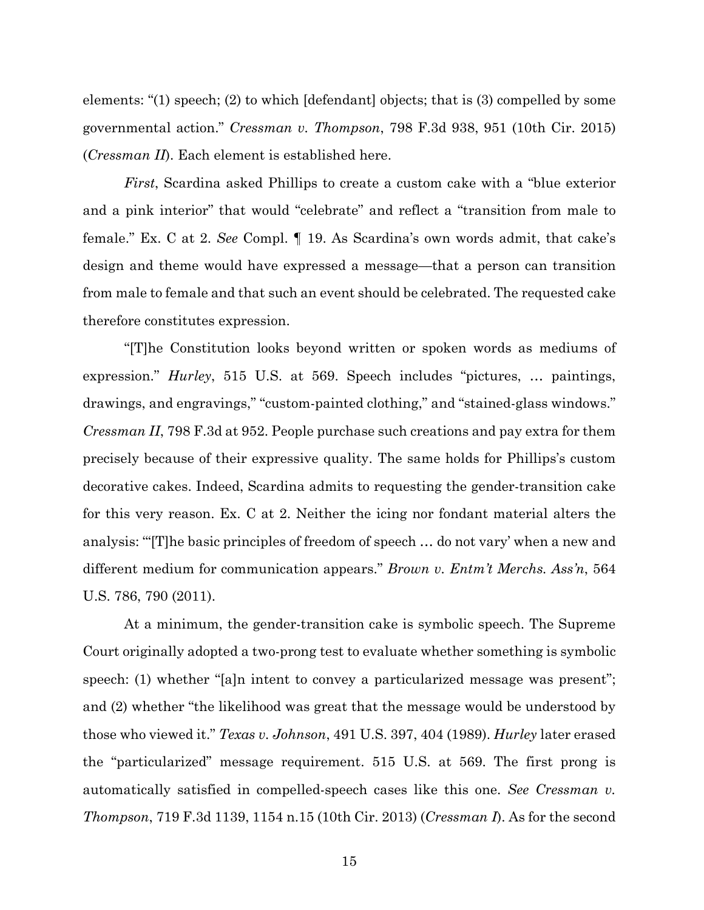elements: "(1) speech; (2) to which [defendant] objects; that is (3) compelled by some governmental action." *Cressman v. Thompson*, 798 F.3d 938, 951 (10th Cir. 2015) (*Cressman II*). Each element is established here.

*First*, Scardina asked Phillips to create a custom cake with a "blue exterior and a pink interior" that would "celebrate" and reflect a "transition from male to female." Ex. C at 2. *See* Compl. ¶ 19. As Scardina's own words admit, that cake's design and theme would have expressed a message—that a person can transition from male to female and that such an event should be celebrated. The requested cake therefore constitutes expression.

"[T]he Constitution looks beyond written or spoken words as mediums of expression." *Hurley*, 515 U.S. at 569. Speech includes "pictures, … paintings, drawings, and engravings," "custom-painted clothing," and "stained-glass windows." *Cressman II*, 798 F.3d at 952. People purchase such creations and pay extra for them precisely because of their expressive quality. The same holds for Phillips's custom decorative cakes. Indeed, Scardina admits to requesting the gender-transition cake for this very reason. Ex. C at 2. Neither the icing nor fondant material alters the analysis: '"[T]he basic principles of freedom of speech … do not vary' when a new and different medium for communication appears." *Brown v. Entm't Merchs. Ass'n*, 564 U.S. 786, 790 (2011).

At a minimum, the gender-transition cake is symbolic speech. The Supreme Court originally adopted a two-prong test to evaluate whether something is symbolic speech: (1) whether "[a]n intent to convey a particularized message was present"; and (2) whether "the likelihood was great that the message would be understood by those who viewed it." *Texas v. Johnson*, 491 U.S. 397, 404 (1989). *Hurley* later erased the "particularized" message requirement. 515 U.S. at 569. The first prong is automatically satisfied in compelled-speech cases like this one. *See Cressman v. Thompson*, 719 F.3d 1139, 1154 n.15 (10th Cir. 2013) (*Cressman I*). As for the second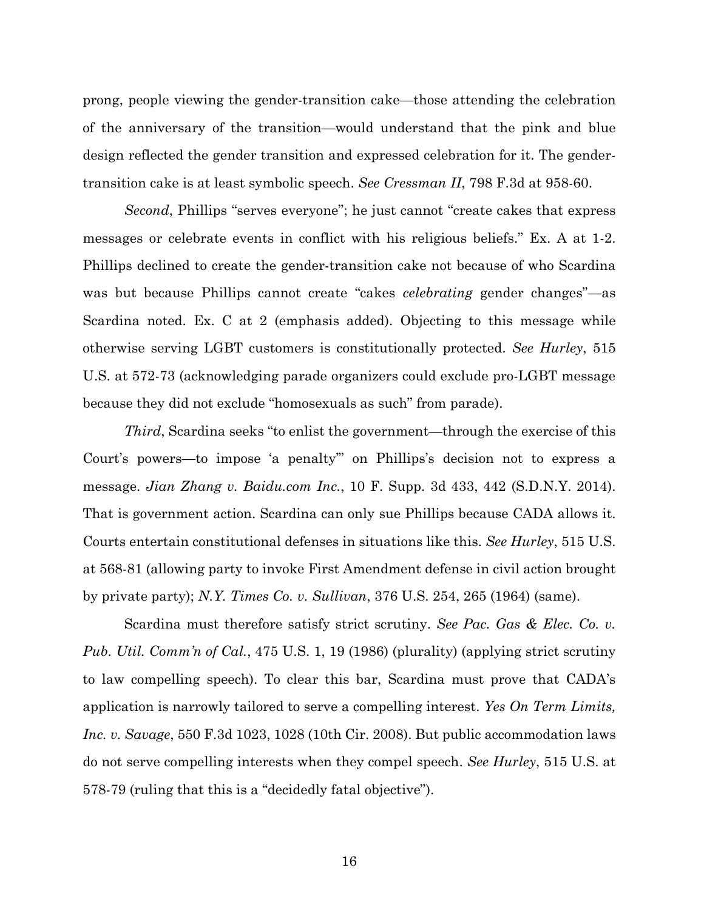prong, people viewing the gender-transition cake—those attending the celebration of the anniversary of the transition—would understand that the pink and blue design reflected the gender transition and expressed celebration for it. The gendertransition cake is at least symbolic speech. *See Cressman II*, 798 F.3d at 958-60.

*Second*, Phillips "serves everyone"; he just cannot "create cakes that express messages or celebrate events in conflict with his religious beliefs." Ex. A at 1-2. Phillips declined to create the gender-transition cake not because of who Scardina was but because Phillips cannot create "cakes *celebrating* gender changes"—as Scardina noted. Ex. C at 2 (emphasis added). Objecting to this message while otherwise serving LGBT customers is constitutionally protected. *See Hurley*, 515 U.S. at 572-73 (acknowledging parade organizers could exclude pro-LGBT message because they did not exclude "homosexuals as such" from parade).

*Third*, Scardina seeks "to enlist the government—through the exercise of this Court's powers—to impose 'a penalty'" on Phillips's decision not to express a message. *Jian Zhang v. Baidu.com Inc.*, 10 F. Supp. 3d 433, 442 (S.D.N.Y. 2014). That is government action. Scardina can only sue Phillips because CADA allows it. Courts entertain constitutional defenses in situations like this. *See Hurley*, 515 U.S. at 568-81 (allowing party to invoke First Amendment defense in civil action brought by private party); *N.Y. Times Co. v. Sullivan*, 376 U.S. 254, 265 (1964) (same).

Scardina must therefore satisfy strict scrutiny. *See Pac. Gas & Elec. Co. v. Pub. Util. Comm'n of Cal.*, 475 U.S. 1, 19 (1986) (plurality) (applying strict scrutiny to law compelling speech). To clear this bar, Scardina must prove that CADA's application is narrowly tailored to serve a compelling interest. *Yes On Term Limits, Inc. v. Savage*, 550 F.3d 1023, 1028 (10th Cir. 2008). But public accommodation laws do not serve compelling interests when they compel speech. *See Hurley*, 515 U.S. at 578-79 (ruling that this is a "decidedly fatal objective").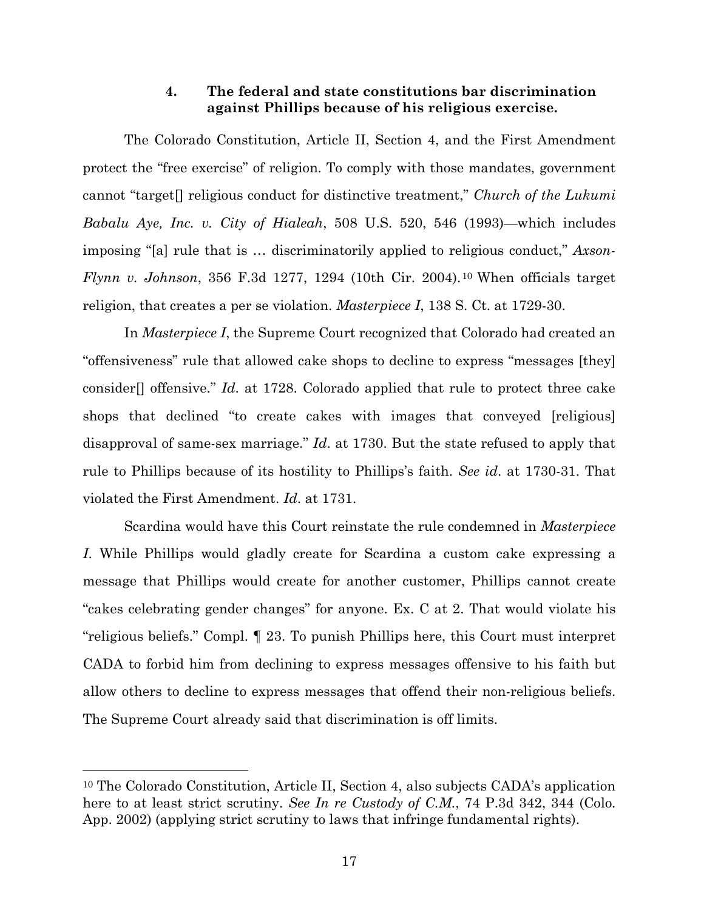# **4. The federal and state constitutions bar discrimination against Phillips because of his religious exercise.**

The Colorado Constitution, Article II, Section 4, and the First Amendment protect the "free exercise" of religion. To comply with those mandates, government cannot "target[] religious conduct for distinctive treatment," *Church of the Lukumi Babalu Aye, Inc. v. City of Hialeah*, 508 U.S. 520, 546 (1993)—which includes imposing "[a] rule that is … discriminatorily applied to religious conduct," *Axson-Flynn v. Johnson*, 356 F.3d 1277, 1294 (10th Cir. 2004).<sup>10</sup> When officials target religion, that creates a per se violation. *Masterpiece I*, 138 S. Ct. at 1729-30.

In *Masterpiece I*, the Supreme Court recognized that Colorado had created an "offensiveness" rule that allowed cake shops to decline to express "messages [they] consider[] offensive." *Id*. at 1728. Colorado applied that rule to protect three cake shops that declined "to create cakes with images that conveyed [religious] disapproval of same-sex marriage." *Id*. at 1730. But the state refused to apply that rule to Phillips because of its hostility to Phillips's faith. *See id*. at 1730-31. That violated the First Amendment. *Id*. at 1731.

Scardina would have this Court reinstate the rule condemned in *Masterpiece I*. While Phillips would gladly create for Scardina a custom cake expressing a message that Phillips would create for another customer, Phillips cannot create "cakes celebrating gender changes" for anyone. Ex. C at 2. That would violate his "religious beliefs." Compl. ¶ 23. To punish Phillips here, this Court must interpret CADA to forbid him from declining to express messages offensive to his faith but allow others to decline to express messages that offend their non-religious beliefs. The Supreme Court already said that discrimination is off limits.

<sup>10</sup> The Colorado Constitution, Article II, Section 4, also subjects CADA's application here to at least strict scrutiny. *See In re Custody of C.M.*, 74 P.3d 342, 344 (Colo. App. 2002) (applying strict scrutiny to laws that infringe fundamental rights).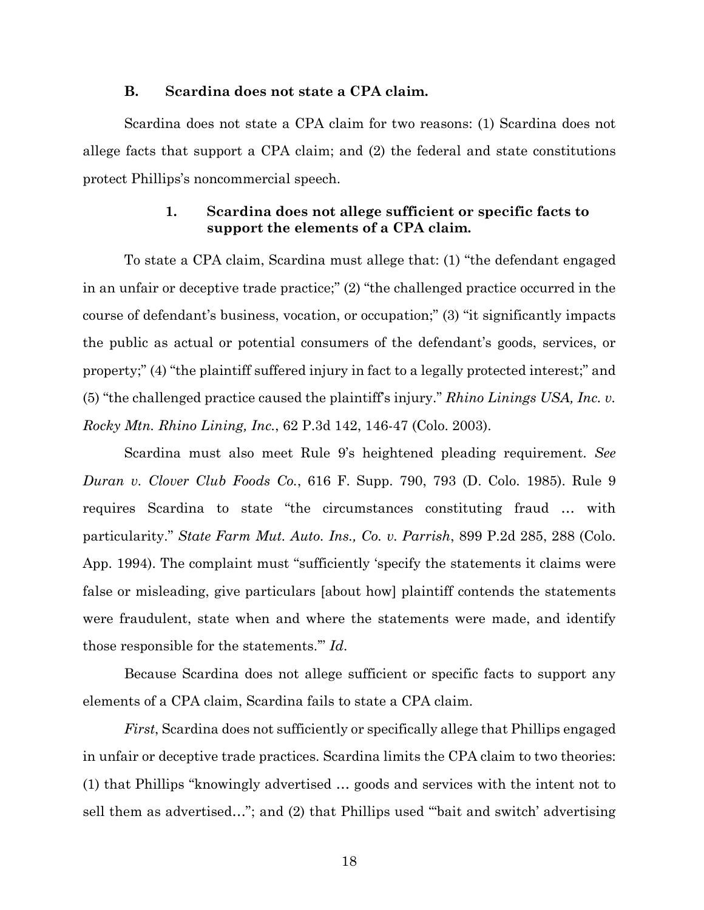#### **B. Scardina does not state a CPA claim.**

Scardina does not state a CPA claim for two reasons: (1) Scardina does not allege facts that support a CPA claim; and (2) the federal and state constitutions protect Phillips's noncommercial speech.

# **1. Scardina does not allege sufficient or specific facts to support the elements of a CPA claim.**

To state a CPA claim, Scardina must allege that: (1) "the defendant engaged in an unfair or deceptive trade practice;" (2) "the challenged practice occurred in the course of defendant's business, vocation, or occupation;" (3) "it significantly impacts the public as actual or potential consumers of the defendant's goods, services, or property;" (4) "the plaintiff suffered injury in fact to a legally protected interest;" and (5) "the challenged practice caused the plaintiff's injury." *Rhino Linings USA, Inc. v. Rocky Mtn. Rhino Lining, Inc.*, 62 P.3d 142, 146-47 (Colo. 2003).

Scardina must also meet Rule 9's heightened pleading requirement. *See Duran v. Clover Club Foods Co.*, 616 F. Supp. 790, 793 (D. Colo. 1985). Rule 9 requires Scardina to state "the circumstances constituting fraud … with particularity." *State Farm Mut. Auto. Ins., Co. v. Parrish*, 899 P.2d 285, 288 (Colo. App. 1994). The complaint must "sufficiently 'specify the statements it claims were false or misleading, give particulars [about how] plaintiff contends the statements were fraudulent, state when and where the statements were made, and identify those responsible for the statements.'" *Id*.

Because Scardina does not allege sufficient or specific facts to support any elements of a CPA claim, Scardina fails to state a CPA claim.

*First*, Scardina does not sufficiently or specifically allege that Phillips engaged in unfair or deceptive trade practices. Scardina limits the CPA claim to two theories: (1) that Phillips "knowingly advertised … goods and services with the intent not to sell them as advertised…"; and (2) that Phillips used '"bait and switch' advertising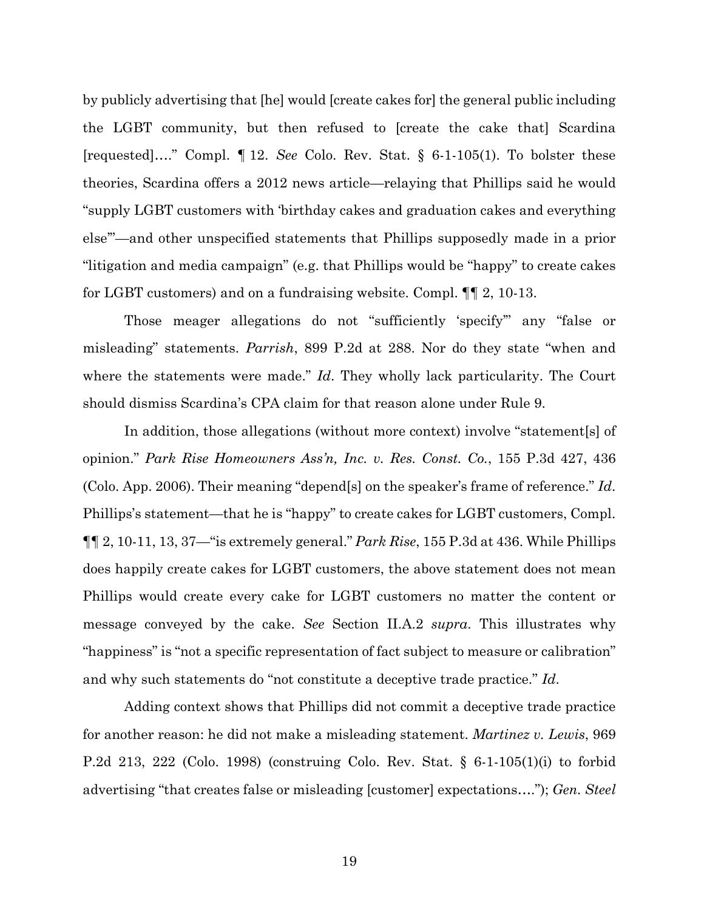by publicly advertising that [he] would [create cakes for] the general public including the LGBT community, but then refused to [create the cake that] Scardina [requested]…." Compl. ¶ 12. *See* Colo. Rev. Stat. § 6-1-105(1). To bolster these theories, Scardina offers a 2012 news article—relaying that Phillips said he would "supply LGBT customers with 'birthday cakes and graduation cakes and everything else'"—and other unspecified statements that Phillips supposedly made in a prior "litigation and media campaign" (e.g. that Phillips would be "happy" to create cakes for LGBT customers) and on a fundraising website. Compl. ¶¶ 2, 10-13.

Those meager allegations do not "sufficiently 'specify'" any "false or misleading" statements. *Parrish*, 899 P.2d at 288. Nor do they state "when and where the statements were made." *Id*. They wholly lack particularity. The Court should dismiss Scardina's CPA claim for that reason alone under Rule 9.

In addition, those allegations (without more context) involve "statement[s] of opinion." *Park Rise Homeowners Ass'n, Inc. v. Res. Const. Co.*, 155 P.3d 427, 436 (Colo. App. 2006). Their meaning "depend[s] on the speaker's frame of reference." *Id*. Phillips's statement—that he is "happy" to create cakes for LGBT customers, Compl. ¶¶ 2, 10-11, 13, 37—"is extremely general." *Park Rise*, 155 P.3d at 436. While Phillips does happily create cakes for LGBT customers, the above statement does not mean Phillips would create every cake for LGBT customers no matter the content or message conveyed by the cake. *See* Section II.A.2 *supra*. This illustrates why "happiness" is "not a specific representation of fact subject to measure or calibration" and why such statements do "not constitute a deceptive trade practice." *Id*.

Adding context shows that Phillips did not commit a deceptive trade practice for another reason: he did not make a misleading statement. *Martinez v. Lewis*, 969 P.2d 213, 222 (Colo. 1998) (construing Colo. Rev. Stat. § 6-1-105(1)(i) to forbid advertising "that creates false or misleading [customer] expectations…."); *Gen. Steel*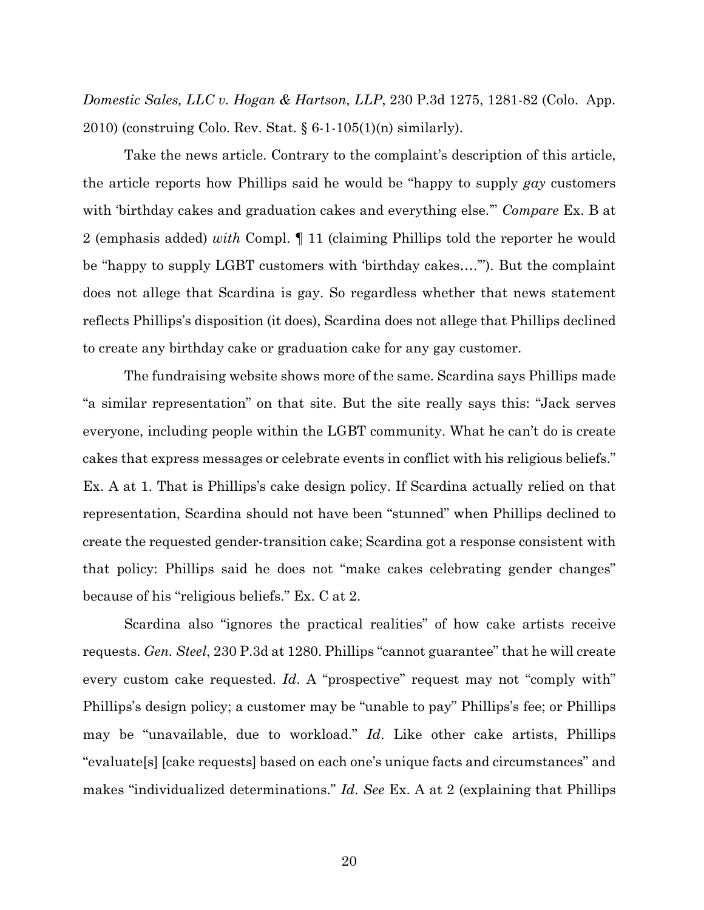*Domestic Sales, LLC v. Hogan & Hartson, LLP*, 230 P.3d 1275, 1281-82 (Colo. App. 2010) (construing Colo. Rev. Stat.  $\S 6-1-105(1)(n)$  similarly).

Take the news article. Contrary to the complaint's description of this article, the article reports how Phillips said he would be "happy to supply *gay* customers with 'birthday cakes and graduation cakes and everything else.'" *Compare* Ex. B at 2 (emphasis added) *with* Compl. ¶ 11 (claiming Phillips told the reporter he would be "happy to supply LGBT customers with 'birthday cakes….'"). But the complaint does not allege that Scardina is gay. So regardless whether that news statement reflects Phillips's disposition (it does), Scardina does not allege that Phillips declined to create any birthday cake or graduation cake for any gay customer.

The fundraising website shows more of the same. Scardina says Phillips made "a similar representation" on that site. But the site really says this: "Jack serves everyone, including people within the LGBT community. What he can't do is create cakes that express messages or celebrate events in conflict with his religious beliefs." Ex. A at 1. That is Phillips's cake design policy. If Scardina actually relied on that representation, Scardina should not have been "stunned" when Phillips declined to create the requested gender-transition cake; Scardina got a response consistent with that policy: Phillips said he does not "make cakes celebrating gender changes" because of his "religious beliefs." Ex. C at 2.

Scardina also "ignores the practical realities" of how cake artists receive requests. *Gen. Steel*, 230 P.3d at 1280. Phillips "cannot guarantee" that he will create every custom cake requested. *Id*. A "prospective" request may not "comply with" Phillips's design policy; a customer may be "unable to pay" Phillips's fee; or Phillips may be "unavailable, due to workload." *Id*. Like other cake artists, Phillips "evaluate[s] [cake requests] based on each one's unique facts and circumstances" and makes "individualized determinations." *Id*. *See* Ex. A at 2 (explaining that Phillips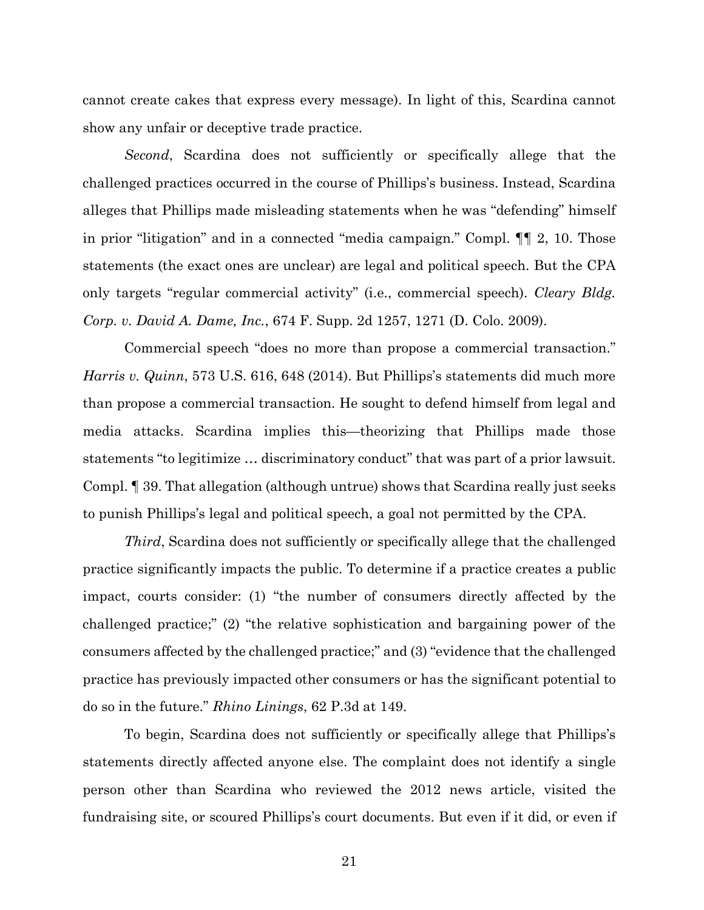cannot create cakes that express every message). In light of this, Scardina cannot show any unfair or deceptive trade practice.

*Second*, Scardina does not sufficiently or specifically allege that the challenged practices occurred in the course of Phillips's business. Instead, Scardina alleges that Phillips made misleading statements when he was "defending" himself in prior "litigation" and in a connected "media campaign." Compl. ¶¶ 2, 10. Those statements (the exact ones are unclear) are legal and political speech. But the CPA only targets "regular commercial activity" (i.e., commercial speech). *Cleary Bldg. Corp. v. David A. Dame, Inc.*, 674 F. Supp. 2d 1257, 1271 (D. Colo. 2009).

Commercial speech "does no more than propose a commercial transaction." *Harris v. Quinn*, 573 U.S. 616, 648 (2014). But Phillips's statements did much more than propose a commercial transaction. He sought to defend himself from legal and media attacks. Scardina implies this—theorizing that Phillips made those statements "to legitimize … discriminatory conduct" that was part of a prior lawsuit. Compl. ¶ 39. That allegation (although untrue) shows that Scardina really just seeks to punish Phillips's legal and political speech, a goal not permitted by the CPA.

*Third*, Scardina does not sufficiently or specifically allege that the challenged practice significantly impacts the public. To determine if a practice creates a public impact, courts consider: (1) "the number of consumers directly affected by the challenged practice;" (2) "the relative sophistication and bargaining power of the consumers affected by the challenged practice;" and (3) "evidence that the challenged practice has previously impacted other consumers or has the significant potential to do so in the future." *Rhino Linings*, 62 P.3d at 149.

To begin, Scardina does not sufficiently or specifically allege that Phillips's statements directly affected anyone else. The complaint does not identify a single person other than Scardina who reviewed the 2012 news article, visited the fundraising site, or scoured Phillips's court documents. But even if it did, or even if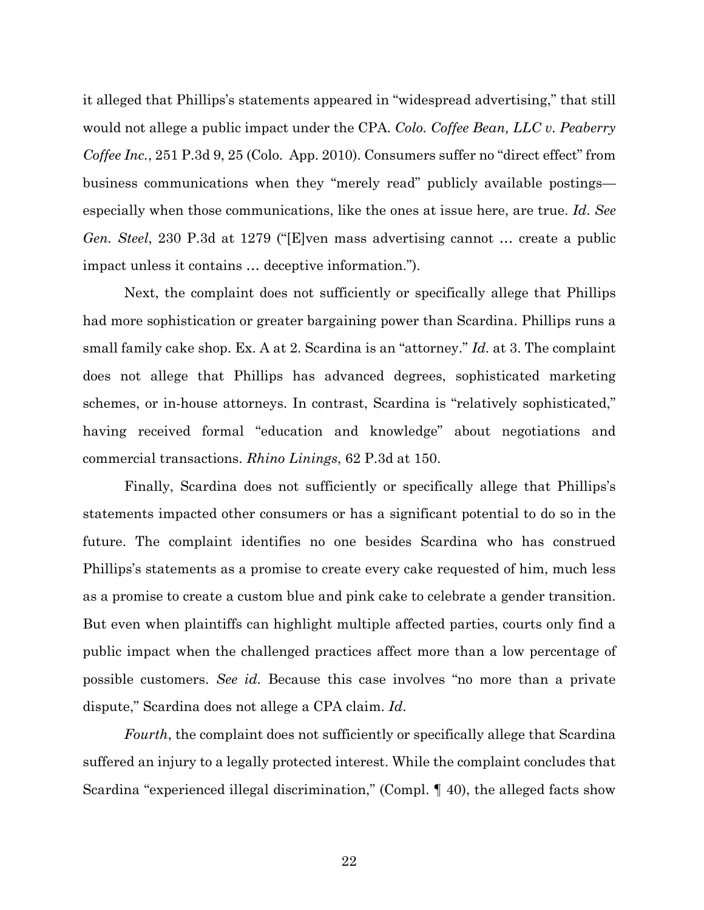it alleged that Phillips's statements appeared in "widespread advertising," that still would not allege a public impact under the CPA. *Colo. Coffee Bean, LLC v. Peaberry Coffee Inc.*, 251 P.3d 9, 25 (Colo. App. 2010). Consumers suffer no "direct effect" from business communications when they "merely read" publicly available postings especially when those communications, like the ones at issue here, are true. *Id*. *See Gen. Steel*, 230 P.3d at 1279 ("[E]ven mass advertising cannot … create a public impact unless it contains … deceptive information.").

Next, the complaint does not sufficiently or specifically allege that Phillips had more sophistication or greater bargaining power than Scardina. Phillips runs a small family cake shop. Ex. A at 2. Scardina is an "attorney." *Id*. at 3. The complaint does not allege that Phillips has advanced degrees, sophisticated marketing schemes, or in-house attorneys. In contrast, Scardina is "relatively sophisticated," having received formal "education and knowledge" about negotiations and commercial transactions. *Rhino Linings*, 62 P.3d at 150.

Finally, Scardina does not sufficiently or specifically allege that Phillips's statements impacted other consumers or has a significant potential to do so in the future. The complaint identifies no one besides Scardina who has construed Phillips's statements as a promise to create every cake requested of him, much less as a promise to create a custom blue and pink cake to celebrate a gender transition. But even when plaintiffs can highlight multiple affected parties, courts only find a public impact when the challenged practices affect more than a low percentage of possible customers. *See id.* Because this case involves "no more than a private dispute," Scardina does not allege a CPA claim. *Id*.

*Fourth*, the complaint does not sufficiently or specifically allege that Scardina suffered an injury to a legally protected interest. While the complaint concludes that Scardina "experienced illegal discrimination," (Compl. ¶ 40), the alleged facts show

22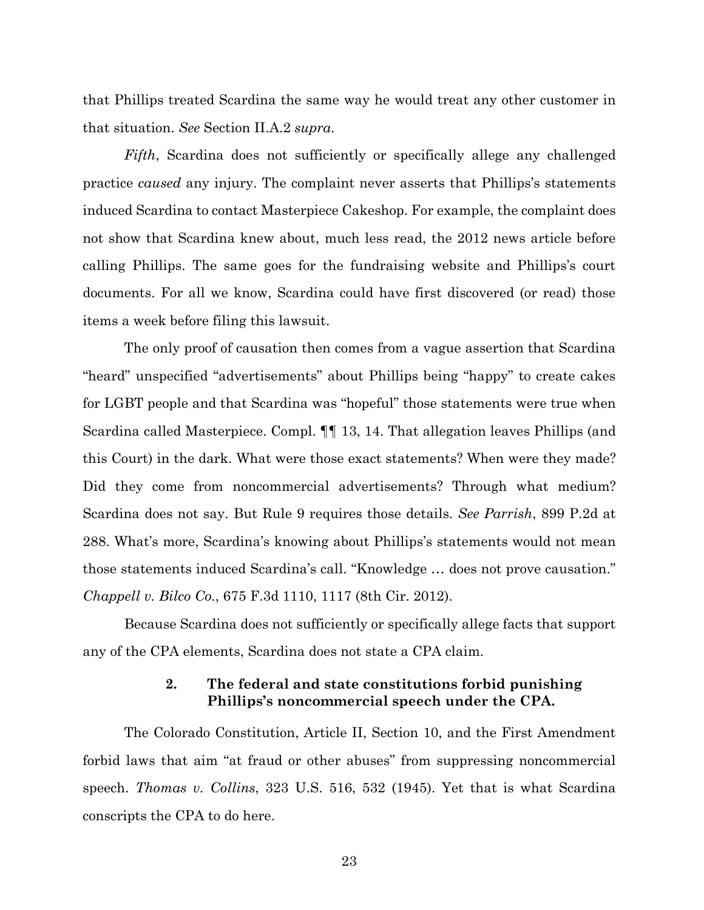that Phillips treated Scardina the same way he would treat any other customer in that situation. *See* Section II.A.2 *supra*.

*Fifth*, Scardina does not sufficiently or specifically allege any challenged practice *caused* any injury. The complaint never asserts that Phillips's statements induced Scardina to contact Masterpiece Cakeshop. For example, the complaint does not show that Scardina knew about, much less read, the 2012 news article before calling Phillips. The same goes for the fundraising website and Phillips's court documents. For all we know, Scardina could have first discovered (or read) those items a week before filing this lawsuit.

The only proof of causation then comes from a vague assertion that Scardina "heard" unspecified "advertisements" about Phillips being "happy" to create cakes for LGBT people and that Scardina was "hopeful" those statements were true when Scardina called Masterpiece. Compl. ¶¶ 13, 14. That allegation leaves Phillips (and this Court) in the dark. What were those exact statements? When were they made? Did they come from noncommercial advertisements? Through what medium? Scardina does not say. But Rule 9 requires those details. *See Parrish*, 899 P.2d at 288. What's more, Scardina's knowing about Phillips's statements would not mean those statements induced Scardina's call. "Knowledge … does not prove causation." *Chappell v. Bilco Co.*, 675 F.3d 1110, 1117 (8th Cir. 2012).

Because Scardina does not sufficiently or specifically allege facts that support any of the CPA elements, Scardina does not state a CPA claim.

# **2. The federal and state constitutions forbid punishing Phillips's noncommercial speech under the CPA.**

The Colorado Constitution, Article II, Section 10, and the First Amendment forbid laws that aim "at fraud or other abuses" from suppressing noncommercial speech. *Thomas v. Collins*, 323 U.S. 516, 532 (1945). Yet that is what Scardina conscripts the CPA to do here.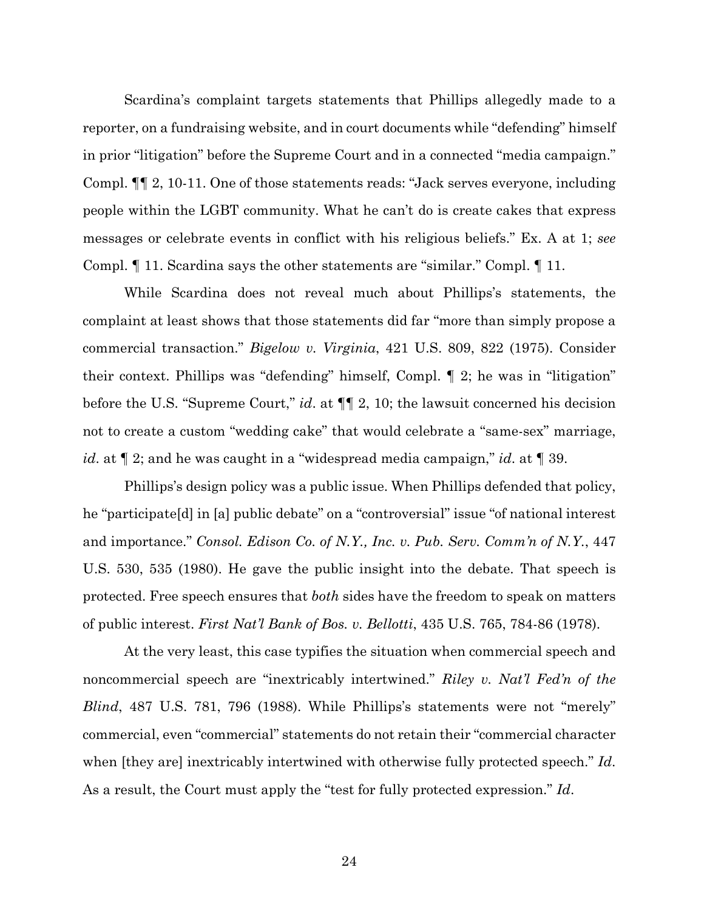Scardina's complaint targets statements that Phillips allegedly made to a reporter, on a fundraising website, and in court documents while "defending" himself in prior "litigation" before the Supreme Court and in a connected "media campaign." Compl. ¶¶ 2, 10-11. One of those statements reads: "Jack serves everyone, including people within the LGBT community. What he can't do is create cakes that express messages or celebrate events in conflict with his religious beliefs." Ex. A at 1; *see*  Compl. ¶ 11. Scardina says the other statements are "similar." Compl. ¶ 11.

While Scardina does not reveal much about Phillips's statements, the complaint at least shows that those statements did far "more than simply propose a commercial transaction." *Bigelow v. Virginia*, 421 U.S. 809, 822 (1975). Consider their context. Phillips was "defending" himself, Compl. ¶ 2; he was in "litigation" before the U.S. "Supreme Court," *id*. at ¶¶ 2, 10; the lawsuit concerned his decision not to create a custom "wedding cake" that would celebrate a "same-sex" marriage, *id*. at ¶ 2; and he was caught in a "widespread media campaign," *id*. at ¶ 39.

Phillips's design policy was a public issue. When Phillips defended that policy, he "participate[d] in [a] public debate" on a "controversial" issue "of national interest and importance." *Consol. Edison Co. of N.Y., Inc. v. Pub. Serv. Comm'n of N.Y.*, 447 U.S. 530, 535 (1980). He gave the public insight into the debate. That speech is protected. Free speech ensures that *both* sides have the freedom to speak on matters of public interest. *First Nat'l Bank of Bos. v. Bellotti*, 435 U.S. 765, 784-86 (1978).

At the very least, this case typifies the situation when commercial speech and noncommercial speech are "inextricably intertwined." *Riley v. Nat'l Fed'n of the Blind*, 487 U.S. 781, 796 (1988). While Phillips's statements were not "merely" commercial, even "commercial" statements do not retain their "commercial character when [they are] inextricably intertwined with otherwise fully protected speech." *Id*. As a result, the Court must apply the "test for fully protected expression." *Id*.

24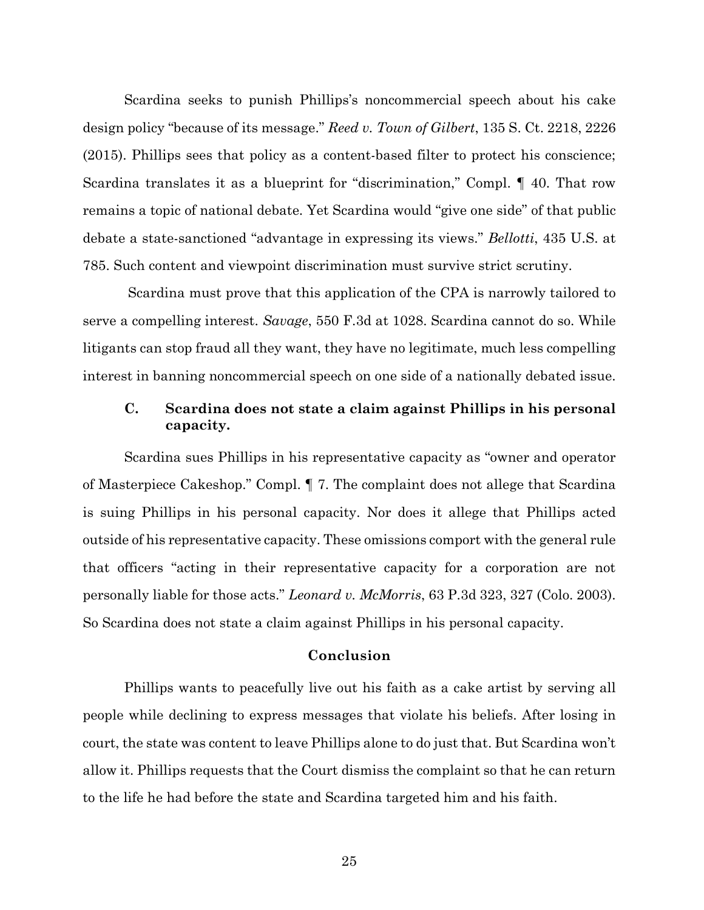Scardina seeks to punish Phillips's noncommercial speech about his cake design policy "because of its message." *Reed v. Town of Gilbert*, 135 S. Ct. 2218, 2226 (2015). Phillips sees that policy as a content-based filter to protect his conscience; Scardina translates it as a blueprint for "discrimination," Compl. ¶ 40. That row remains a topic of national debate. Yet Scardina would "give one side" of that public debate a state-sanctioned "advantage in expressing its views." *Bellotti*, 435 U.S. at 785. Such content and viewpoint discrimination must survive strict scrutiny.

Scardina must prove that this application of the CPA is narrowly tailored to serve a compelling interest. *Savage*, 550 F.3d at 1028. Scardina cannot do so. While litigants can stop fraud all they want, they have no legitimate, much less compelling interest in banning noncommercial speech on one side of a nationally debated issue.

# **C. Scardina does not state a claim against Phillips in his personal capacity.**

Scardina sues Phillips in his representative capacity as "owner and operator of Masterpiece Cakeshop." Compl. ¶ 7. The complaint does not allege that Scardina is suing Phillips in his personal capacity. Nor does it allege that Phillips acted outside of his representative capacity. These omissions comport with the general rule that officers "acting in their representative capacity for a corporation are not personally liable for those acts." *Leonard v. McMorris*, 63 P.3d 323, 327 (Colo. 2003). So Scardina does not state a claim against Phillips in his personal capacity.

#### **Conclusion**

Phillips wants to peacefully live out his faith as a cake artist by serving all people while declining to express messages that violate his beliefs. After losing in court, the state was content to leave Phillips alone to do just that. But Scardina won't allow it. Phillips requests that the Court dismiss the complaint so that he can return to the life he had before the state and Scardina targeted him and his faith.

25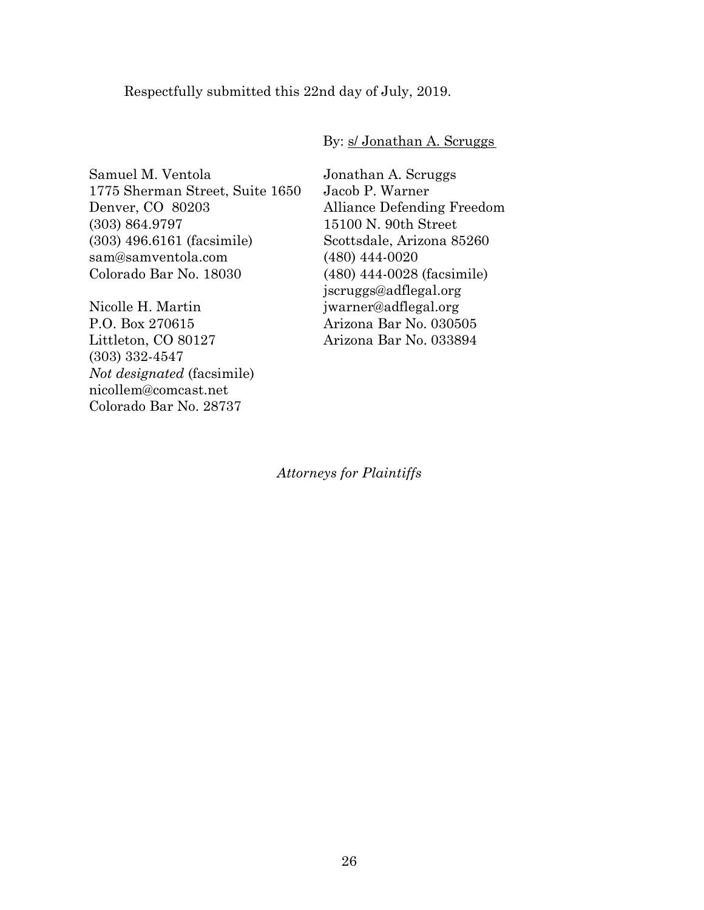Respectfully submitted this 22nd day of July, 2019.

## By: s/ Jonathan A. Scruggs

Samuel M. Ventola 1775 Sherman Street, Suite 1650 Denver, CO 80203 (303) 864.9797 (303) 496.6161 (facsimile) sam@samventola.com Colorado Bar No. 18030

Nicolle H. Martin P.O. Box 270615 Littleton, CO 80127 (303) 332-4547 *Not designated* (facsimile) nicollem@comcast.net Colorado Bar No. 28737

Jonathan A. Scruggs Jacob P. Warner Alliance Defending Freedom 15100 N. 90th Street Scottsdale, Arizona 85260 (480) 444-0020 (480) 444-0028 (facsimile) jscruggs@adflegal.org jwarner@adflegal.org Arizona Bar No. 030505 Arizona Bar No. 033894

*Attorneys for Plaintiffs*